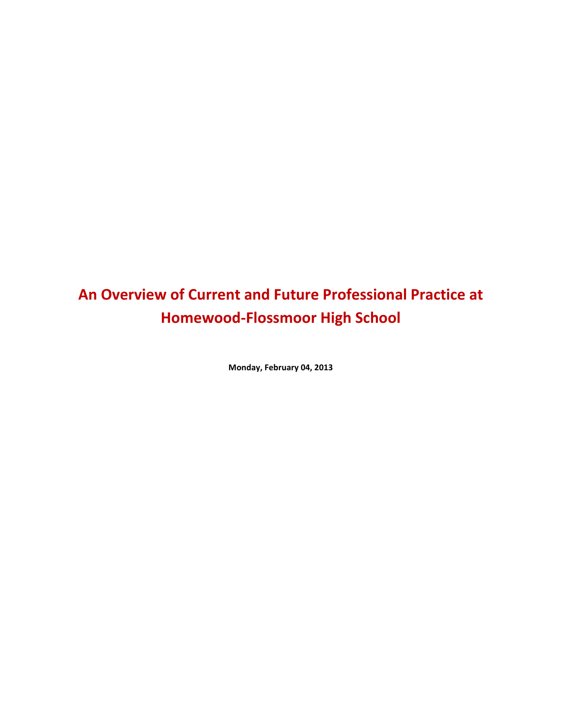# **An Overview of Current and Future Professional Practice at Homewood-Flossmoor High School**

**Monday, February 04, 2013**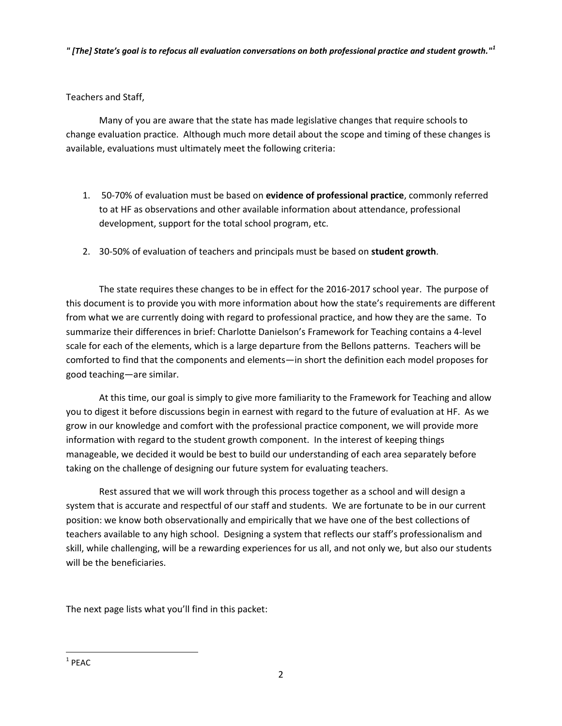*" [The] State's goal is to refocus all evaluation conversations on both professional practice and student growth."<sup>1</sup>*

Teachers and Staff,

Many of you are aware that the state has made legislative changes that require schools to change evaluation practice. Although much more detail about the scope and timing of these changes is available, evaluations must ultimately meet the following criteria:

- 1. 50-70% of evaluation must be based on **evidence of professional practice**, commonly referred to at HF as observations and other available information about attendance, professional development, support for the total school program, etc.
- 2. 30-50% of evaluation of teachers and principals must be based on **student growth**.

The state requires these changes to be in effect for the 2016-2017 school year. The purpose of this document is to provide you with more information about how the state's requirements are different from what we are currently doing with regard to professional practice, and how they are the same. To summarize their differences in brief: Charlotte Danielson's Framework for Teaching contains a 4-level scale for each of the elements, which is a large departure from the Bellons patterns. Teachers will be comforted to find that the components and elements—in short the definition each model proposes for good teaching—are similar.

At this time, our goal is simply to give more familiarity to the Framework for Teaching and allow you to digest it before discussions begin in earnest with regard to the future of evaluation at HF. As we grow in our knowledge and comfort with the professional practice component, we will provide more information with regard to the student growth component. In the interest of keeping things manageable, we decided it would be best to build our understanding of each area separately before taking on the challenge of designing our future system for evaluating teachers.

Rest assured that we will work through this process together as a school and will design a system that is accurate and respectful of our staff and students. We are fortunate to be in our current position: we know both observationally and empirically that we have one of the best collections of teachers available to any high school. Designing a system that reflects our staff's professionalism and skill, while challenging, will be a rewarding experiences for us all, and not only we, but also our students will be the beneficiaries.

The next page lists what you'll find in this packet:

l  $1$  PEAC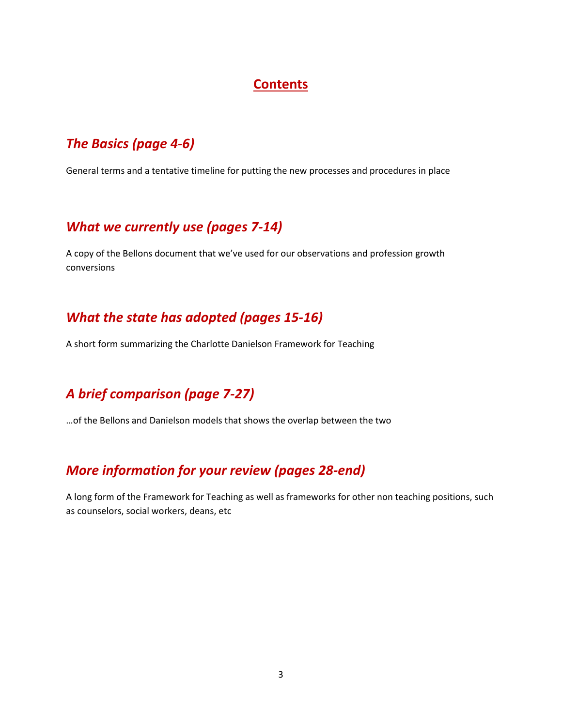### **Contents**

### *The Basics (page 4-6)*

General terms and a tentative timeline for putting the new processes and procedures in place

### *What we currently use (pages 7-14)*

A copy of the Bellons document that we've used for our observations and profession growth conversions

### *What the state has adopted (pages 15-16)*

A short form summarizing the Charlotte Danielson Framework for Teaching

## *A brief comparison (page 7-27)*

…of the Bellons and Danielson models that shows the overlap between the two

## *More information for your review (pages 28-end)*

A long form of the Framework for Teaching as well as frameworks for other non teaching positions, such as counselors, social workers, deans, etc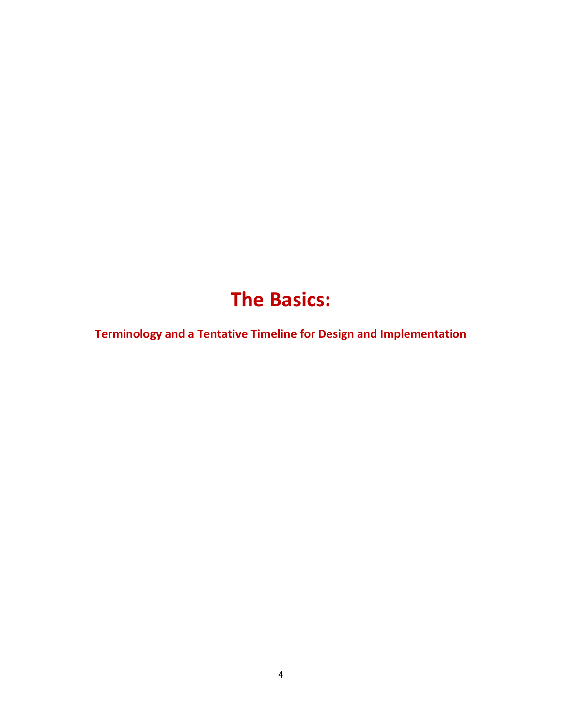# **The Basics:**

**Terminology and a Tentative Timeline for Design and Implementation**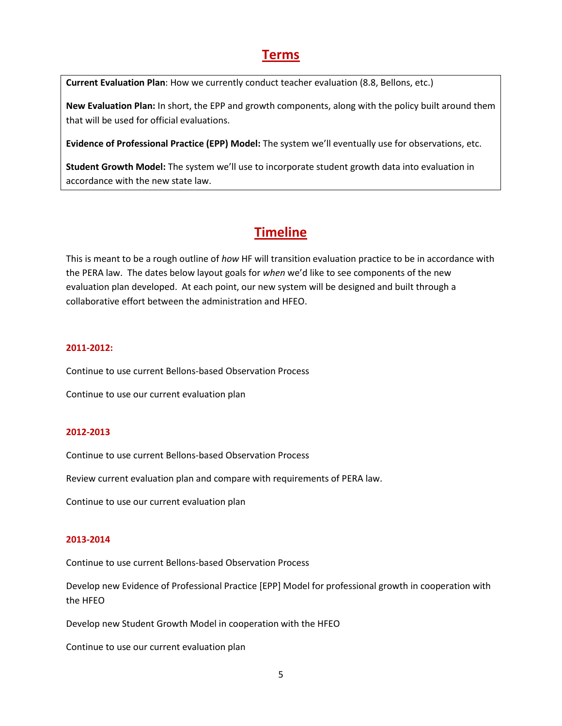### **Terms**

**Current Evaluation Plan**: How we currently conduct teacher evaluation (8.8, Bellons, etc.)

**New Evaluation Plan:** In short, the EPP and growth components, along with the policy built around them that will be used for official evaluations.

**Evidence of Professional Practice (EPP) Model:** The system we'll eventually use for observations, etc.

**Student Growth Model:** The system we'll use to incorporate student growth data into evaluation in accordance with the new state law.

## **Timeline**

This is meant to be a rough outline of *how* HF will transition evaluation practice to be in accordance with the PERA law. The dates below layout goals for *when* we'd like to see components of the new evaluation plan developed. At each point, our new system will be designed and built through a collaborative effort between the administration and HFEO.

#### **2011-2012:**

Continue to use current Bellons-based Observation Process

Continue to use our current evaluation plan

#### **2012-2013**

Continue to use current Bellons-based Observation Process

Review current evaluation plan and compare with requirements of PERA law.

Continue to use our current evaluation plan

#### **2013-2014**

Continue to use current Bellons-based Observation Process

Develop new Evidence of Professional Practice [EPP] Model for professional growth in cooperation with the HFEO

Develop new Student Growth Model in cooperation with the HFEO

Continue to use our current evaluation plan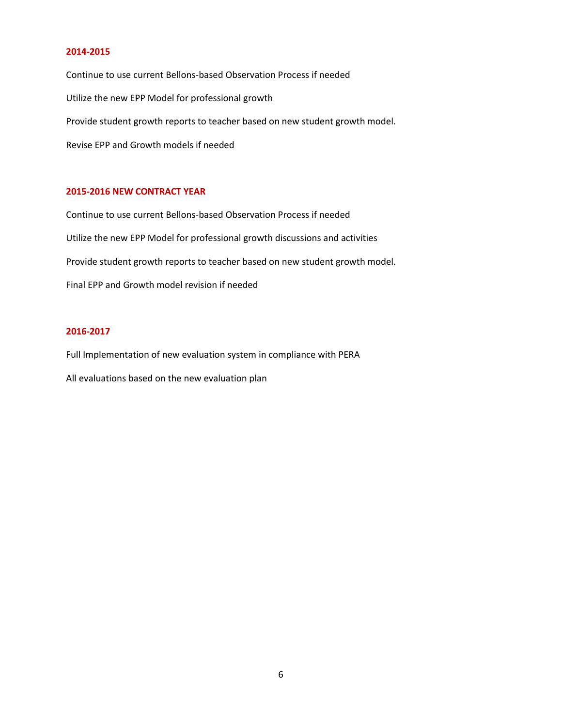#### **2014-2015**

Continue to use current Bellons-based Observation Process if needed Utilize the new EPP Model for professional growth Provide student growth reports to teacher based on new student growth model. Revise EPP and Growth models if needed

#### **2015-2016 NEW CONTRACT YEAR**

Continue to use current Bellons-based Observation Process if needed Utilize the new EPP Model for professional growth discussions and activities Provide student growth reports to teacher based on new student growth model. Final EPP and Growth model revision if needed

#### **2016-2017**

Full Implementation of new evaluation system in compliance with PERA All evaluations based on the new evaluation plan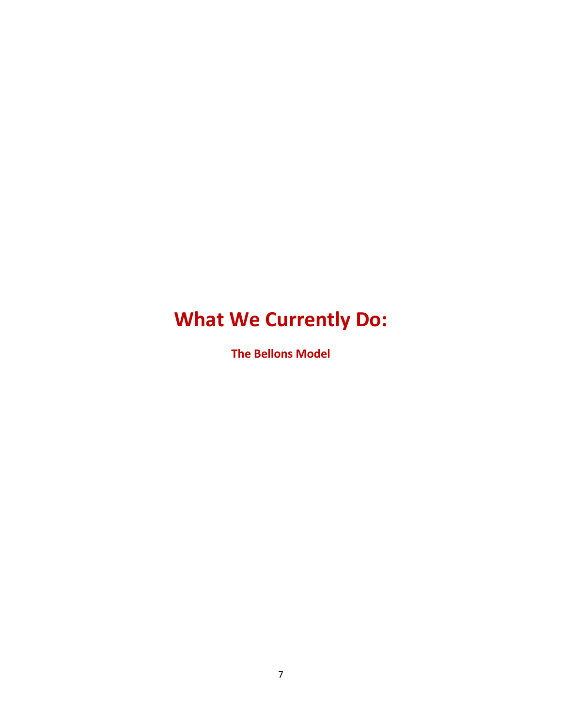# **What We Currently Do:**

**The Bellons Model**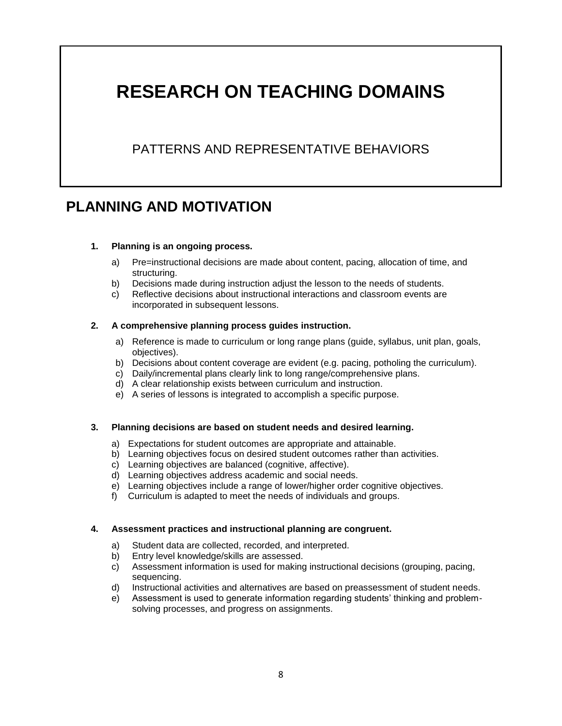# **RESEARCH ON TEACHING DOMAINS**

## PATTERNS AND REPRESENTATIVE BEHAVIORS

## **PLANNING AND MOTIVATION**

#### **1. Planning is an ongoing process.**

- a) Pre=instructional decisions are made about content, pacing, allocation of time, and structuring.
- b) Decisions made during instruction adjust the lesson to the needs of students.
- c) Reflective decisions about instructional interactions and classroom events are incorporated in subsequent lessons.

#### **2. A comprehensive planning process guides instruction.**

- a) Reference is made to curriculum or long range plans (guide, syllabus, unit plan, goals, objectives).
- b) Decisions about content coverage are evident (e.g. pacing, potholing the curriculum).
- c) Daily/incremental plans clearly link to long range/comprehensive plans.
- d) A clear relationship exists between curriculum and instruction.
- e) A series of lessons is integrated to accomplish a specific purpose.

#### **3. Planning decisions are based on student needs and desired learning.**

- a) Expectations for student outcomes are appropriate and attainable.
- b) Learning objectives focus on desired student outcomes rather than activities.
- c) Learning objectives are balanced (cognitive, affective).
- d) Learning objectives address academic and social needs.
- e) Learning objectives include a range of lower/higher order cognitive objectives.
- f) Curriculum is adapted to meet the needs of individuals and groups.

#### **4. Assessment practices and instructional planning are congruent.**

- a) Student data are collected, recorded, and interpreted.
- b) Entry level knowledge/skills are assessed.
- c) Assessment information is used for making instructional decisions (grouping, pacing, sequencing.
- d) Instructional activities and alternatives are based on preassessment of student needs.
- e) Assessment is used to generate information regarding students' thinking and problemsolving processes, and progress on assignments.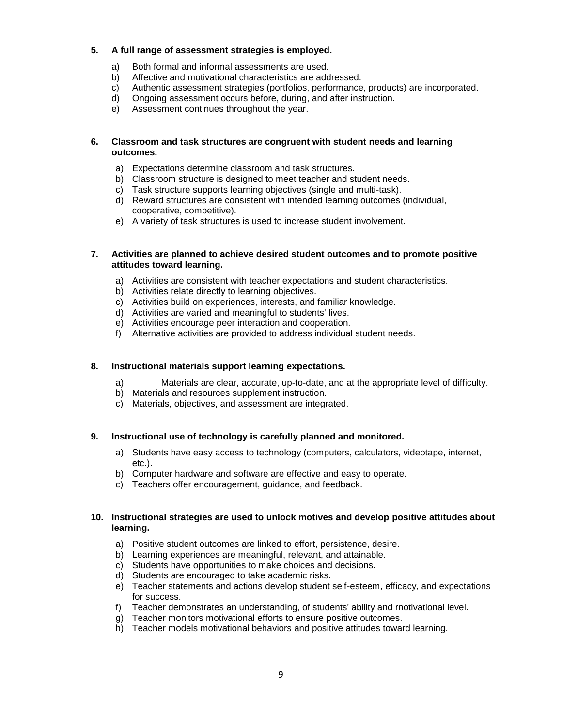#### **5. A full range of assessment strategies is employed.**

- a) Both formal and informal assessments are used.
- b) Affective and motivational characteristics are addressed.
- c) Authentic assessment strategies (portfolios, performance, products) are incorporated.
- d) Ongoing assessment occurs before, during, and after instruction.
- e) Assessment continues throughout the year.

#### **6. Classroom and task structures are congruent with student needs and learning outcomes.**

- a) Expectations determine classroom and task structures.
- b) Classroom structure is designed to meet teacher and student needs.
- c) Task structure supports learning objectives (single and multi-task).
- d) Reward structures are consistent with intended learning outcomes (individual, cooperative, competitive).
- e) A variety of task structures is used to increase student involvement.

#### **7. Activities are planned to achieve desired student outcomes and to promote positive attitudes toward learning.**

- a) Activities are consistent with teacher expectations and student characteristics.
- b) Activities relate directly to learning objectives.
- c) Activities build on experiences, interests, and familiar knowledge.
- d) Activities are varied and meaningful to students' lives.
- e) Activities encourage peer interaction and cooperation.
- f) Alternative activities are provided to address individual student needs.

#### **8. Instructional materials support learning expectations.**

- a) Materials are clear, accurate, up-to-date, and at the appropriate level of difficulty.
- b) Materials and resources supplement instruction.
- c) Materials, objectives, and assessment are integrated.

#### **9. Instructional use of technology is carefully planned and monitored.**

- a) Students have easy access to technology (computers, calculators, videotape, internet, etc.).
- b) Computer hardware and software are effective and easy to operate.
- c) Teachers offer encouragement, guidance, and feedback.

#### **10. Instructional strategies are used to unlock motives and develop positive attitudes about learning.**

- a) Positive student outcomes are linked to effort, persistence, desire.
- b) Learning experiences are meaningful, relevant, and attainable.
- c) Students have opportunities to make choices and decisions.
- d) Students are encouraged to take academic risks.
- e) Teacher statements and actions develop student self-esteem, efficacy, and expectations for success.
- f) Teacher demonstrates an understanding, of students' ability and rnotivational level.
- g) Teacher monitors motivational efforts to ensure positive outcomes.
- h) Teacher models motivational behaviors and positive attitudes toward learning.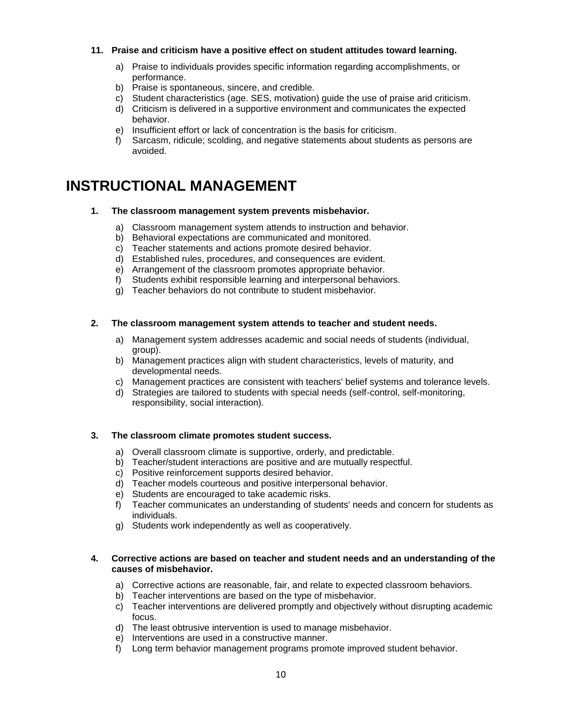#### **11. Praise and criticism have a positive effect on student attitudes toward learning.**

- a) Praise to individuals provides specific information regarding accomplishments, or performance.
- b) Praise is spontaneous, sincere, and credible.
- c) Student characteristics (age. SES, motivation) guide the use of praise arid criticism.
- d) Criticism is delivered in a supportive environment and communicates the expected behavior.
- e) Insufficient effort or lack of concentration is the basis for criticism.
- f) Sarcasm, ridicule; scolding, and negative statements about students as persons are avoided.

## **INSTRUCTIONAL MANAGEMENT**

#### **1. The classroom management system prevents misbehavior.**

- a) Classroom management system attends to instruction and behavior.
- b) Behavioral expectations are communicated and monitored.
- c) Teacher statements and actions promote desired behavior.
- d) Established rules, procedures, and consequences are evident.
- e) Arrangement of the classroom promotes appropriate behavior.
- f) Students exhibit responsible learning and interpersonal behaviors.
- g) Teacher behaviors do not contribute to student misbehavior.

#### **2. The classroom management system attends to teacher and student needs.**

- a) Management system addresses academic and social needs of students (individual, group).
- b) Management practices align with student characteristics, levels of maturity, and developmental needs.
- c) Management practices are consistent with teachers' belief systems and tolerance levels.
- d) Strategies are tailored to students with special needs (self-control, self-monitoring, responsibility, social interaction).

#### **3. The classroom climate promotes student success.**

- a) Overall classroom climate is supportive, orderly, and predictable.
- b) Teacher/student interactions are positive and are mutually respectful.
- c) Positive reinforcement supports desired behavior.
- d) Teacher models courteous and positive interpersonal behavior.
- e) Students are encouraged to take academic risks.
- f) Teacher communicates an understanding of students' needs and concern for students as individuals.
- g) Students work independently as well as cooperatively.

#### **4. Corrective actions are based on teacher and student needs and an understanding of the causes of misbehavior.**

- a) Corrective actions are reasonable, fair, and relate to expected classroom behaviors.
- b) Teacher interventions are based on the type of misbehavior.
- c) Teacher interventions are delivered promptly and objectively without disrupting academic focus.
- d) The least obtrusive intervention is used to manage misbehavior.
- e) Interventions are used in a constructive manner.
- f) Long term behavior management programs promote improved student behavior.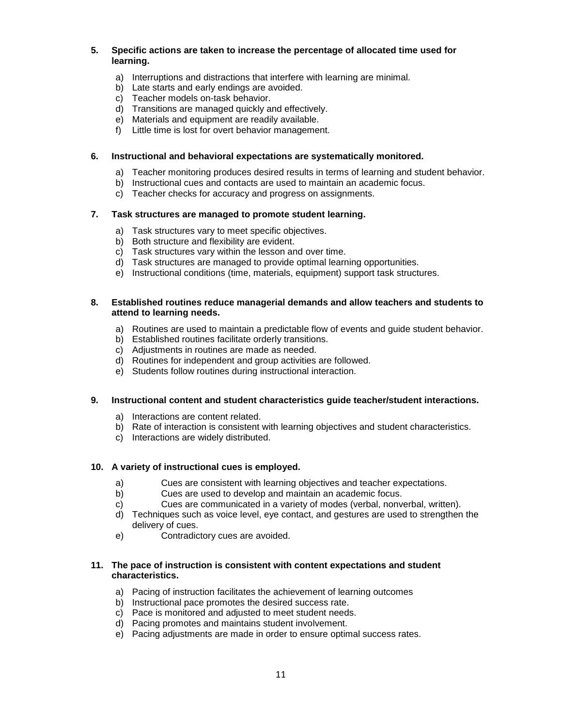#### **5. Specific actions are taken to increase the percentage of allocated time used for learning.**

- a) Interruptions and distractions that interfere with learning are minimal.
- b) Late starts and early endings are avoided.
- c) Teacher models on-task behavior.
- d) Transitions are managed quickly and effectively.
- e) Materials and equipment are readily available.
- f) Little time is lost for overt behavior management.

#### **6. Instructional and behavioral expectations are systematically monitored.**

- a) Teacher monitoring produces desired results in terms of learning and student behavior.
- b) Instructional cues and contacts are used to maintain an academic focus.
- c) Teacher checks for accuracy and progress on assignments.

#### **7. Task structures are managed to promote student learning.**

- a) Task structures vary to meet specific objectives.
- b) Both structure and flexibility are evident.
- c) Task structures vary within the lesson and over time.
- d) Task structures are managed to provide optimal learning opportunities.
- e) Instructional conditions (time, materials, equipment) support task structures.

#### **8. Established routines reduce managerial demands and allow teachers and students to attend to learning needs.**

- a) Routines are used to maintain a predictable flow of events and guide student behavior.
- b) Established routines facilitate orderly transitions.
- c) Adjustments in routines are made as needed.
- d) Routines for independent and group activities are followed.
- e) Students follow routines during instructional interaction.

#### **9. Instructional content and student characteristics guide teacher/student interactions.**

- a) Interactions are content related.
- b) Rate of interaction is consistent with learning objectives and student characteristics.
- c) Interactions are widely distributed.

#### **10. A variety of instructional cues is employed.**

- a) Cues are consistent with learning objectives and teacher expectations.
- b) Cues are used to develop and maintain an academic focus.
- c) Cues are communicated in a variety of modes (verbal, nonverbal, written).
- d) Techniques such as voice level, eye contact, and gestures are used to strengthen the delivery of cues.
- e) Contradictory cues are avoided.

#### **11. The pace of instruction is consistent with content expectations and student characteristics.**

- a) Pacing of instruction facilitates the achievement of learning outcomes
- b) Instructional pace promotes the desired success rate.
- c) Pace is monitored and adjusted to meet student needs.
- d) Pacing promotes and maintains student involvement.
- e) Pacing adjustments are made in order to ensure optimal success rates.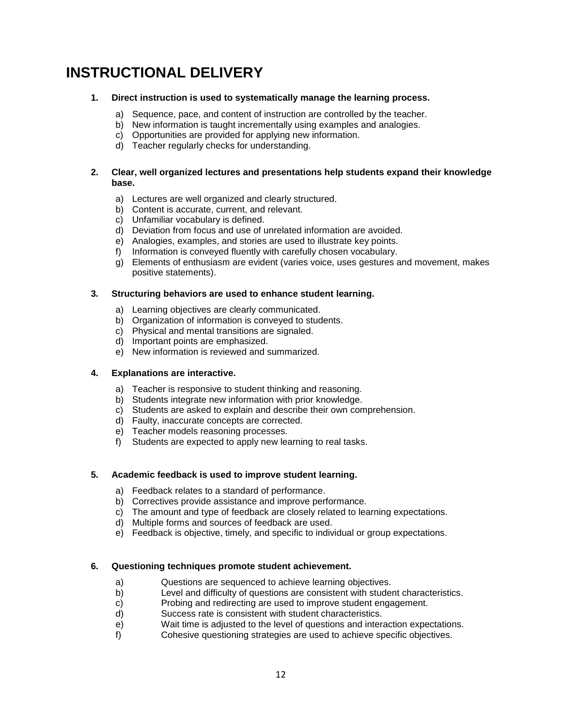## **INSTRUCTIONAL DELIVERY**

#### **1. Direct instruction is used to systematically manage the learning process.**

- a) Sequence, pace, and content of instruction are controlled by the teacher.
- b) New information is taught incrementally using examples and analogies.
- c) Opportunities are provided for applying new information.
- d) Teacher regularly checks for understanding.

#### **2. Clear, well organized lectures and presentations help students expand their knowledge base.**

- a) Lectures are well organized and clearly structured.
- b) Content is accurate, current, and relevant.
- c) Unfamiliar vocabulary is defined.
- d) Deviation from focus and use of unrelated information are avoided.
- e) Analogies, examples, and stories are used to illustrate key points.
- f) Information is conveyed fluently with carefully chosen vocabulary.
- g) Elements of enthusiasm are evident (varies voice, uses gestures and movement, makes positive statements).

#### **3. Structuring behaviors are used to enhance student learning.**

- a) Learning objectives are clearly communicated.
- b) Organization of information is conveyed to students.
- c) Physical and mental transitions are signaled.
- d) Important points are emphasized.
- e) New information is reviewed and summarized.

#### **4. Explanations are interactive.**

- a) Teacher is responsive to student thinking and reasoning.
- b) Students integrate new information with prior knowledge.
- c) Students are asked to explain and describe their own comprehension.
- d) Faulty, inaccurate concepts are corrected.
- e) Teacher models reasoning processes.
- f) Students are expected to apply new learning to real tasks.

#### **5. Academic feedback is used to improve student learning.**

- a) Feedback relates to a standard of performance.
- b) Correctives provide assistance and improve performance.
- c) The amount and type of feedback are closely related to learning expectations.
- d) Multiple forms and sources of feedback are used.
- e) Feedback is objective, timely, and specific to individual or group expectations.

#### **6. Questioning techniques promote student achievement.**

- a) Questions are sequenced to achieve learning objectives.
- b) Level and difficulty of questions are consistent with student characteristics.
- c) Probing and redirecting are used to improve student engagement.
- d) Success rate is consistent with student characteristics.
- e) Wait time is adjusted to the level of questions and interaction expectations.
- f) Cohesive questioning strategies are used to achieve specific objectives.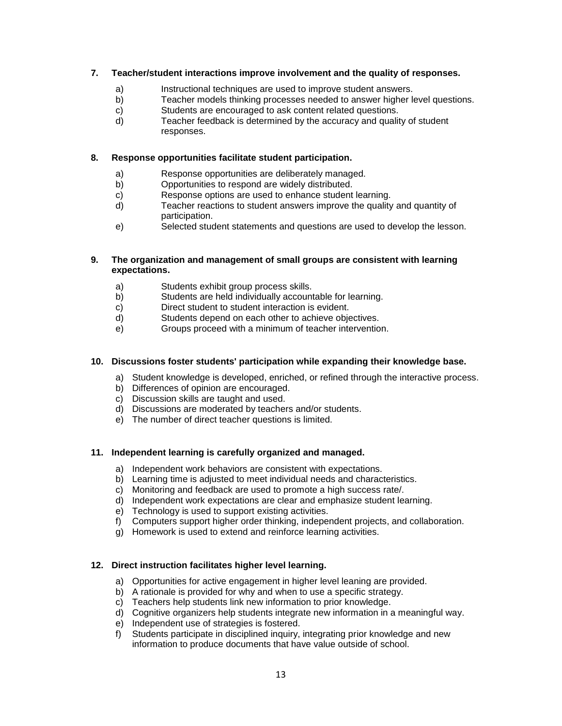#### **7. Teacher/student interactions improve involvement and the quality of responses.**

- a) Instructional techniques are used to improve student answers.
- b) Teacher models thinking processes needed to answer higher level questions.
- c) Students are encouraged to ask content related questions.
- d) Teacher feedback is determined by the accuracy and quality of student responses.

#### **8. Response opportunities facilitate student participation.**

- a) Response opportunities are deliberately managed.
- b) Opportunities to respond are widely distributed.
- c) Response options are used to enhance student learning.
- d) Teacher reactions to student answers improve the quality and quantity of participation.
- e) Selected student statements and questions are used to develop the lesson.

#### **9. The organization and management of small groups are consistent with learning expectations.**

- a) Students exhibit group process skills.
- b) Students are held individually accountable for learning.
- c) Direct student to student interaction is evident.
- d) Students depend on each other to achieve objectives.
- e) Groups proceed with a minimum of teacher intervention.

#### **10. Discussions foster students' participation while expanding their knowledge base.**

- a) Student knowledge is developed, enriched, or refined through the interactive process.
- b) Differences of opinion are encouraged.
- c) Discussion skills are taught and used.
- d) Discussions are moderated by teachers and/or students.
- e) The number of direct teacher questions is limited.

#### **11. Independent learning is carefully organized and managed.**

- a) Independent work behaviors are consistent with expectations.
- b) Learning time is adjusted to meet individual needs and characteristics.
- c) Monitoring and feedback are used to promote a high success rate/.
- d) Independent work expectations are clear and emphasize student learning.
- e) Technology is used to support existing activities.
- f) Computers support higher order thinking, independent projects, and collaboration.
- g) Homework is used to extend and reinforce learning activities.

#### **12. Direct instruction facilitates higher level learning.**

- a) Opportunities for active engagement in higher level leaning are provided.
- b) A rationale is provided for why and when to use a specific strategy.
- c) Teachers help students link new information to prior knowledge.
- d) Cognitive organizers help students integrate new information in a meaningful way.
- e) Independent use of strategies is fostered.
- f) Students participate in disciplined inquiry, integrating prior knowledge and new information to produce documents that have value outside of school.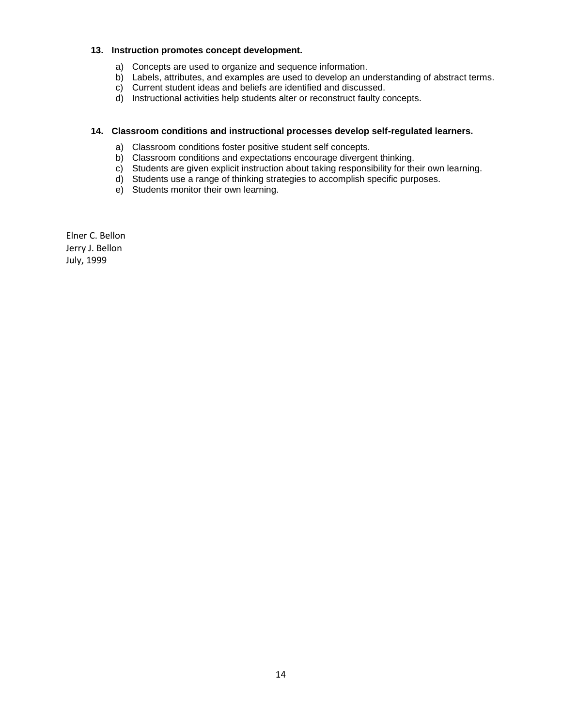#### **13. Instruction promotes concept development.**

- a) Concepts are used to organize and sequence information.
- b) Labels, attributes, and examples are used to develop an understanding of abstract terms.
- c) Current student ideas and beliefs are identified and discussed.
- d) Instructional activities help students alter or reconstruct faulty concepts.

#### **14. Classroom conditions and instructional processes develop self-regulated learners.**

- a) Classroom conditions foster positive student self concepts.
- b) Classroom conditions and expectations encourage divergent thinking.
- c) Students are given explicit instruction about taking responsibility for their own learning.
- d) Students use a range of thinking strategies to accomplish specific purposes.
- e) Students monitor their own learning.

Elner C. Bellon Jerry J. Bellon July, 1999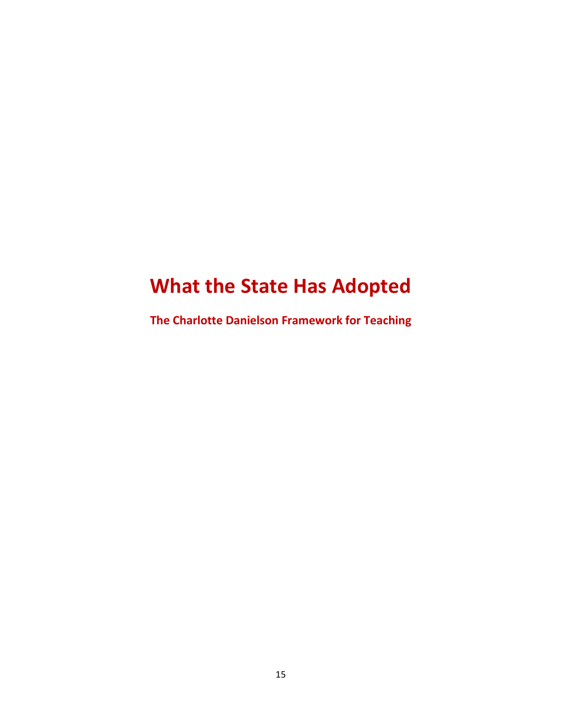# **What the State Has Adopted**

**The Charlotte Danielson Framework for Teaching**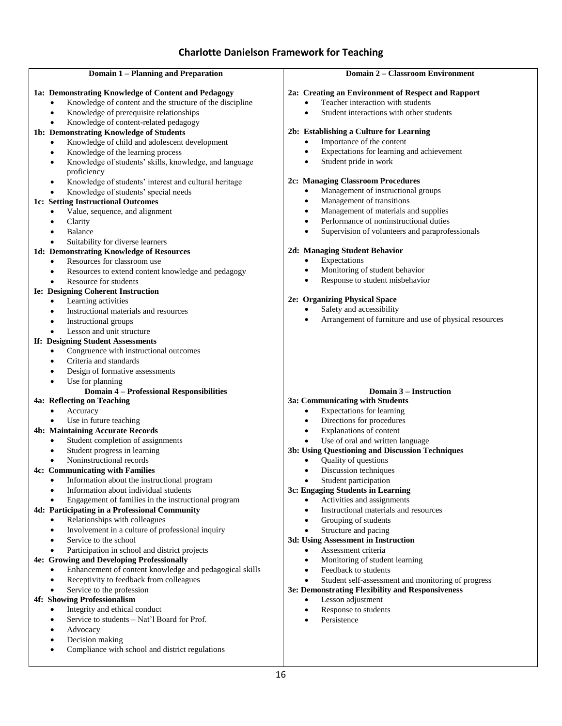| Domain 1 - Planning and Preparation |                                                                              | <b>Domain 2 - Classroom Environment</b>                                      |
|-------------------------------------|------------------------------------------------------------------------------|------------------------------------------------------------------------------|
|                                     |                                                                              |                                                                              |
|                                     | 1a: Demonstrating Knowledge of Content and Pedagogy                          | 2a: Creating an Environment of Respect and Rapport                           |
|                                     | Knowledge of content and the structure of the discipline                     | Teacher interaction with students<br>$\bullet$                               |
|                                     | Knowledge of prerequisite relationships                                      | Student interactions with other students<br>$\bullet$                        |
|                                     | Knowledge of content-related pedagogy                                        |                                                                              |
|                                     | 1b: Demonstrating Knowledge of Students                                      | 2b: Establishing a Culture for Learning                                      |
|                                     | Knowledge of child and adolescent development<br>$\bullet$                   | Importance of the content<br>$\bullet$                                       |
|                                     | Knowledge of the learning process<br>٠                                       | Expectations for learning and achievement<br>$\bullet$                       |
|                                     | Knowledge of students' skills, knowledge, and language<br>٠                  | Student pride in work<br>$\bullet$                                           |
|                                     | proficiency                                                                  |                                                                              |
|                                     | Knowledge of students' interest and cultural heritage<br>$\bullet$           | 2c: Managing Classroom Procedures<br>Management of instructional groups<br>٠ |
|                                     | Knowledge of students' special needs<br>$\bullet$                            | Management of transitions<br>$\bullet$                                       |
|                                     | 1c: Setting Instructional Outcomes                                           | Management of materials and supplies                                         |
|                                     | Value, sequence, and alignment                                               | Performance of noninstructional duties<br>$\bullet$                          |
|                                     | Clarity<br>Balance                                                           | Supervision of volunteers and paraprofessionals<br>$\bullet$                 |
|                                     | Suitability for diverse learners<br>$\bullet$                                |                                                                              |
|                                     | 1d: Demonstrating Knowledge of Resources                                     | 2d: Managing Student Behavior                                                |
|                                     | Resources for classroom use<br>$\bullet$                                     | Expectations<br>$\bullet$                                                    |
|                                     | Resources to extend content knowledge and pedagogy                           | Monitoring of student behavior<br>$\bullet$                                  |
|                                     | Resource for students<br>$\bullet$                                           | Response to student misbehavior<br>$\bullet$                                 |
|                                     | <b>Ie: Designing Coherent Instruction</b>                                    |                                                                              |
|                                     | Learning activities<br>٠                                                     | 2e: Organizing Physical Space                                                |
|                                     | Instructional materials and resources                                        | Safety and accessibility                                                     |
|                                     | Instructional groups<br>٠                                                    | Arrangement of furniture and use of physical resources                       |
|                                     | Lesson and unit structure                                                    |                                                                              |
|                                     | If: Designing Student Assessments                                            |                                                                              |
|                                     | Congruence with instructional outcomes<br>$\bullet$                          |                                                                              |
|                                     | Criteria and standards                                                       |                                                                              |
|                                     | Design of formative assessments<br>٠                                         |                                                                              |
|                                     | Use for planning<br>$\bullet$                                                |                                                                              |
|                                     | <b>Domain 4 - Professional Responsibilities</b>                              | Domain 3 – Instruction                                                       |
|                                     | 4a: Reflecting on Teaching                                                   | 3a: Communicating with Students                                              |
|                                     | Accuracy                                                                     | Expectations for learning<br>$\bullet$                                       |
|                                     | Use in future teaching                                                       | Directions for procedures<br>$\bullet$                                       |
|                                     | <b>4b: Maintaining Accurate Records</b><br>Student completion of assignments | Explanations of content<br>$\bullet$<br>Use of oral and written language     |
|                                     | Student progress in learning<br>$\bullet$                                    | 3b: Using Questioning and Discussion Techniques                              |
|                                     | Noninstructional records                                                     | Quality of questions<br>$\bullet$                                            |
|                                     | 4c: Communicating with Families                                              | Discussion techniques<br>$\bullet$                                           |
|                                     | Information about the instructional program                                  | Student participation                                                        |
|                                     | Information about individual students                                        | 3c: Engaging Students in Learning                                            |
|                                     | Engagement of families in the instructional program<br>$\bullet$             | Activities and assignments                                                   |
|                                     | 4d: Participating in a Professional Community                                | Instructional materials and resources<br>$\bullet$                           |
|                                     | Relationships with colleagues                                                | Grouping of students<br>$\bullet$                                            |
|                                     | Involvement in a culture of professional inquiry                             | Structure and pacing<br>$\bullet$                                            |
|                                     | Service to the school<br>$\bullet$                                           | 3d: Using Assessment in Instruction                                          |
|                                     | Participation in school and district projects<br>٠                           | Assessment criteria<br>$\bullet$                                             |
|                                     | 4e: Growing and Developing Professionally                                    | Monitoring of student learning<br>$\bullet$                                  |
|                                     | Enhancement of content knowledge and pedagogical skills                      | Feedback to students<br>$\bullet$                                            |
|                                     | Receptivity to feedback from colleagues                                      | Student self-assessment and monitoring of progress                           |
|                                     | Service to the profession                                                    | 3e: Demonstrating Flexibility and Responsiveness                             |
|                                     | 4f: Showing Professionalism                                                  | Lesson adjustment<br>$\bullet$                                               |
|                                     | Integrity and ethical conduct<br>٠                                           | Response to students<br>$\bullet$                                            |
|                                     | Service to students - Nat'l Board for Prof.                                  | Persistence<br>$\bullet$                                                     |
|                                     | Advocacy                                                                     |                                                                              |
|                                     | Decision making                                                              |                                                                              |
|                                     | Compliance with school and district regulations                              |                                                                              |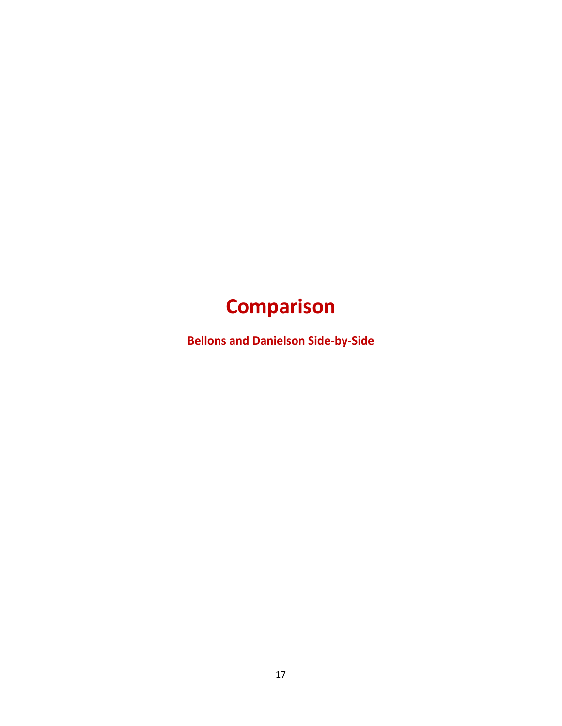# **Comparison**

**Bellons and Danielson Side-by-Side**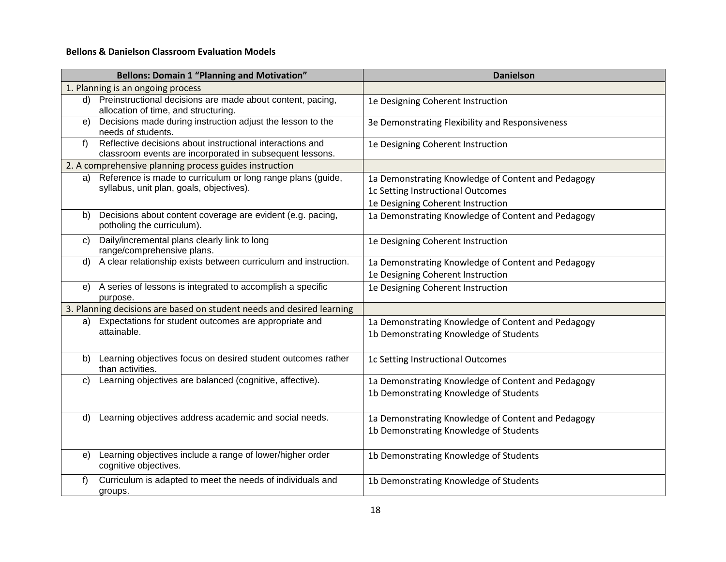### **Bellons & Danielson Classroom Evaluation Models**

|    | <b>Bellons: Domain 1 "Planning and Motivation"</b>                                                                    | <b>Danielson</b>                                   |
|----|-----------------------------------------------------------------------------------------------------------------------|----------------------------------------------------|
|    | 1. Planning is an ongoing process                                                                                     |                                                    |
|    | d) Preinstructional decisions are made about content, pacing,<br>allocation of time, and structuring.                 | 1e Designing Coherent Instruction                  |
| e) | Decisions made during instruction adjust the lesson to the<br>needs of students.                                      | 3e Demonstrating Flexibility and Responsiveness    |
| f  | Reflective decisions about instructional interactions and<br>classroom events are incorporated in subsequent lessons. | 1e Designing Coherent Instruction                  |
|    | 2. A comprehensive planning process guides instruction                                                                |                                                    |
| a) | Reference is made to curriculum or long range plans (guide,                                                           | 1a Demonstrating Knowledge of Content and Pedagogy |
|    | syllabus, unit plan, goals, objectives).                                                                              | 1c Setting Instructional Outcomes                  |
|    |                                                                                                                       | 1e Designing Coherent Instruction                  |
| b) | Decisions about content coverage are evident (e.g. pacing,<br>potholing the curriculum).                              | 1a Demonstrating Knowledge of Content and Pedagogy |
| C) | Daily/incremental plans clearly link to long<br>range/comprehensive plans.                                            | 1e Designing Coherent Instruction                  |
| d) | A clear relationship exists between curriculum and instruction.                                                       | 1a Demonstrating Knowledge of Content and Pedagogy |
|    |                                                                                                                       | 1e Designing Coherent Instruction                  |
| e) | A series of lessons is integrated to accomplish a specific<br>purpose.                                                | 1e Designing Coherent Instruction                  |
|    | 3. Planning decisions are based on student needs and desired learning                                                 |                                                    |
| a) | Expectations for student outcomes are appropriate and                                                                 | 1a Demonstrating Knowledge of Content and Pedagogy |
|    | attainable.                                                                                                           | 1b Demonstrating Knowledge of Students             |
|    | b) Learning objectives focus on desired student outcomes rather<br>than activities.                                   | 1c Setting Instructional Outcomes                  |
| C) | Learning objectives are balanced (cognitive, affective).                                                              | 1a Demonstrating Knowledge of Content and Pedagogy |
|    |                                                                                                                       | 1b Demonstrating Knowledge of Students             |
| d) | Learning objectives address academic and social needs.                                                                | 1a Demonstrating Knowledge of Content and Pedagogy |
|    |                                                                                                                       | 1b Demonstrating Knowledge of Students             |
|    | e) Learning objectives include a range of lower/higher order<br>cognitive objectives.                                 | 1b Demonstrating Knowledge of Students             |
| f) | Curriculum is adapted to meet the needs of individuals and<br>groups.                                                 | 1b Demonstrating Knowledge of Students             |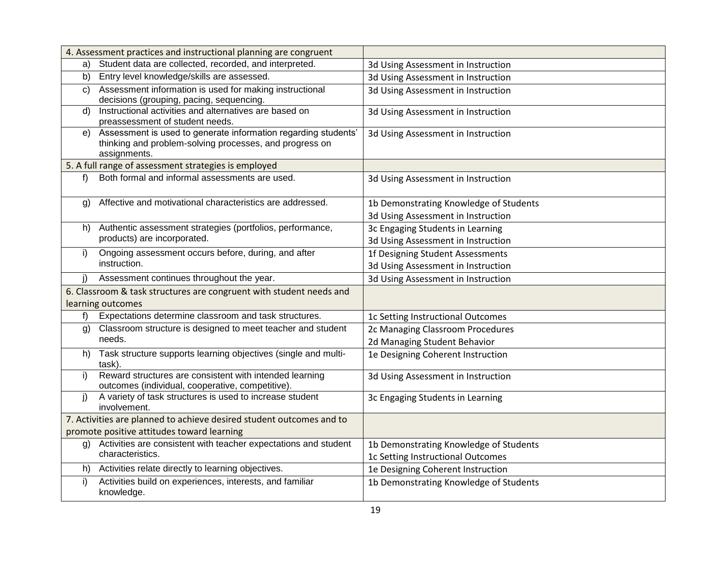|              | 4. Assessment practices and instructional planning are congruent                                                                          |                                        |
|--------------|-------------------------------------------------------------------------------------------------------------------------------------------|----------------------------------------|
| a)           | Student data are collected, recorded, and interpreted.                                                                                    | 3d Using Assessment in Instruction     |
| b)           | Entry level knowledge/skills are assessed.                                                                                                | 3d Using Assessment in Instruction     |
| $\mathsf{C}$ | Assessment information is used for making instructional<br>decisions (grouping, pacing, sequencing.                                       | 3d Using Assessment in Instruction     |
| d)           | Instructional activities and alternatives are based on<br>preassessment of student needs.                                                 | 3d Using Assessment in Instruction     |
| e)           | Assessment is used to generate information regarding students'<br>thinking and problem-solving processes, and progress on<br>assignments. | 3d Using Assessment in Instruction     |
|              | 5. A full range of assessment strategies is employed                                                                                      |                                        |
| $f$ )        | Both formal and informal assessments are used.                                                                                            | 3d Using Assessment in Instruction     |
| g)           | Affective and motivational characteristics are addressed.                                                                                 | 1b Demonstrating Knowledge of Students |
|              |                                                                                                                                           | 3d Using Assessment in Instruction     |
| h)           | Authentic assessment strategies (portfolios, performance,                                                                                 | 3c Engaging Students in Learning       |
|              | products) are incorporated.                                                                                                               | 3d Using Assessment in Instruction     |
| i)           | Ongoing assessment occurs before, during, and after                                                                                       | 1f Designing Student Assessments       |
|              | instruction.                                                                                                                              | 3d Using Assessment in Instruction     |
| j)           | Assessment continues throughout the year.                                                                                                 | 3d Using Assessment in Instruction     |
|              | 6. Classroom & task structures are congruent with student needs and                                                                       |                                        |
|              | learning outcomes                                                                                                                         |                                        |
| f)           | Expectations determine classroom and task structures.                                                                                     | 1c Setting Instructional Outcomes      |
| g)           | Classroom structure is designed to meet teacher and student                                                                               | 2c Managing Classroom Procedures       |
|              | needs.                                                                                                                                    | 2d Managing Student Behavior           |
|              | h) Task structure supports learning objectives (single and multi-<br>task).                                                               | 1e Designing Coherent Instruction      |
| i)           | Reward structures are consistent with intended learning<br>outcomes (individual, cooperative, competitive)                                | 3d Using Assessment in Instruction     |
| i)           | A variety of task structures is used to increase student<br>involvement.                                                                  | 3c Engaging Students in Learning       |
|              | 7. Activities are planned to achieve desired student outcomes and to                                                                      |                                        |
|              | promote positive attitudes toward learning                                                                                                |                                        |
| g)           | Activities are consistent with teacher expectations and student                                                                           | 1b Demonstrating Knowledge of Students |
|              | characteristics.                                                                                                                          | 1c Setting Instructional Outcomes      |
| h)           | Activities relate directly to learning objectives.                                                                                        | 1e Designing Coherent Instruction      |
| i)           | Activities build on experiences, interests, and familiar                                                                                  | 1b Demonstrating Knowledge of Students |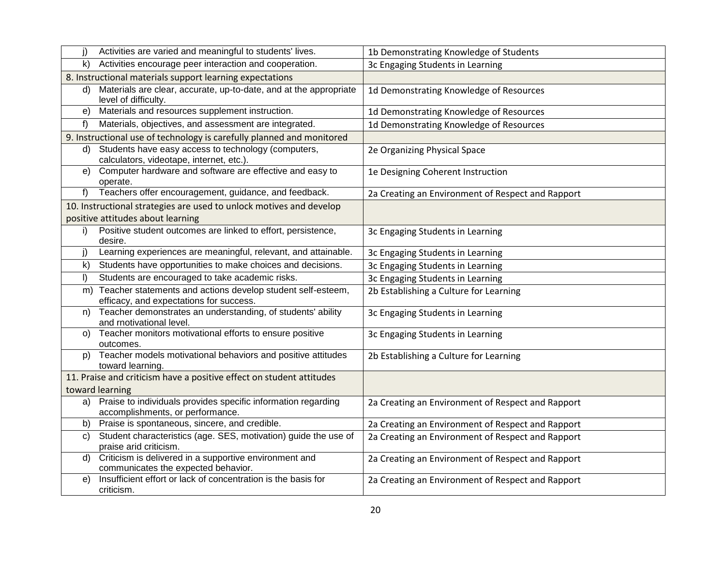| j)      | Activities are varied and meaningful to students' lives.                                                  | 1b Demonstrating Knowledge of Students            |
|---------|-----------------------------------------------------------------------------------------------------------|---------------------------------------------------|
| k)      | Activities encourage peer interaction and cooperation.                                                    | 3c Engaging Students in Learning                  |
|         | 8. Instructional materials support learning expectations                                                  |                                                   |
| d)      | Materials are clear, accurate, up-to-date, and at the appropriate<br>level of difficulty.                 | 1d Demonstrating Knowledge of Resources           |
| e)      | Materials and resources supplement instruction.                                                           | 1d Demonstrating Knowledge of Resources           |
| f)      | Materials, objectives, and assessment are integrated.                                                     | 1d Demonstrating Knowledge of Resources           |
|         | 9. Instructional use of technology is carefully planned and monitored                                     |                                                   |
| d)      | Students have easy access to technology (computers,<br>calculators, videotape, internet, etc.).           | 2e Organizing Physical Space                      |
| e)      | Computer hardware and software are effective and easy to<br>operate.                                      | 1e Designing Coherent Instruction                 |
| $f$ )   | Teachers offer encouragement, guidance, and feedback.                                                     | 2a Creating an Environment of Respect and Rapport |
|         | 10. Instructional strategies are used to unlock motives and develop                                       |                                                   |
|         | positive attitudes about learning                                                                         |                                                   |
| i)      | Positive student outcomes are linked to effort, persistence,<br>desire.                                   | 3c Engaging Students in Learning                  |
| j)      | Learning experiences are meaningful, relevant, and attainable.                                            | 3c Engaging Students in Learning                  |
| k)      | Students have opportunities to make choices and decisions.                                                | 3c Engaging Students in Learning                  |
| $\vert$ | Students are encouraged to take academic risks.                                                           | 3c Engaging Students in Learning                  |
|         | m) Teacher statements and actions develop student self-esteem,<br>efficacy, and expectations for success. | 2b Establishing a Culture for Learning            |
| n)      | Teacher demonstrates an understanding, of students' ability<br>and rnotivational level.                   | 3c Engaging Students in Learning                  |
| O)      | Teacher monitors motivational efforts to ensure positive<br>outcomes.                                     | 3c Engaging Students in Learning                  |
| p)      | Teacher models motivational behaviors and positive attitudes<br>toward learning.                          | 2b Establishing a Culture for Learning            |
|         | 11. Praise and criticism have a positive effect on student attitudes                                      |                                                   |
|         | toward learning                                                                                           |                                                   |
| a)      | Praise to individuals provides specific information regarding<br>accomplishments, or performance.         | 2a Creating an Environment of Respect and Rapport |
| b)      | Praise is spontaneous, sincere, and credible.                                                             | 2a Creating an Environment of Respect and Rapport |
| C)      | Student characteristics (age. SES, motivation) guide the use of<br>praise arid criticism.                 | 2a Creating an Environment of Respect and Rapport |
| d)      | Criticism is delivered in a supportive environment and<br>communicates the expected behavior.             | 2a Creating an Environment of Respect and Rapport |
| e)      | Insufficient effort or lack of concentration is the basis for<br>criticism.                               | 2a Creating an Environment of Respect and Rapport |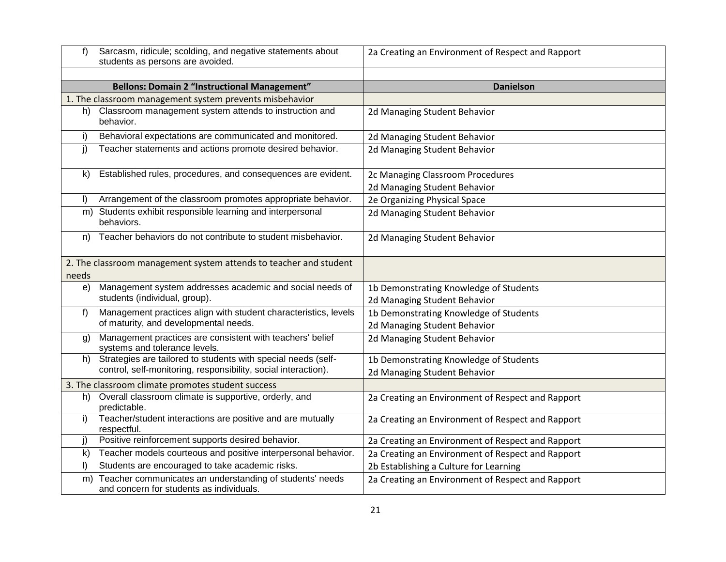| f)             | Sarcasm, ridicule; scolding, and negative statements about<br>students as persons are avoided.       | 2a Creating an Environment of Respect and Rapport |
|----------------|------------------------------------------------------------------------------------------------------|---------------------------------------------------|
|                |                                                                                                      |                                                   |
|                | <b>Bellons: Domain 2 "Instructional Management"</b>                                                  | <b>Danielson</b>                                  |
|                | 1. The classroom management system prevents misbehavior                                              |                                                   |
| h)             | Classroom management system attends to instruction and<br>behavior.                                  | 2d Managing Student Behavior                      |
| i)             | Behavioral expectations are communicated and monitored.                                              | 2d Managing Student Behavior                      |
| i)             | Teacher statements and actions promote desired behavior.                                             | 2d Managing Student Behavior                      |
| k)             | Established rules, procedures, and consequences are evident.                                         | 2c Managing Classroom Procedures                  |
|                |                                                                                                      | 2d Managing Student Behavior                      |
| $\mathbf{D}$   | Arrangement of the classroom promotes appropriate behavior.                                          | 2e Organizing Physical Space                      |
|                | m) Students exhibit responsible learning and interpersonal<br>behaviors.                             | 2d Managing Student Behavior                      |
| n)             | Teacher behaviors do not contribute to student misbehavior.                                          | 2d Managing Student Behavior                      |
|                | 2. The classroom management system attends to teacher and student                                    |                                                   |
| needs          |                                                                                                      |                                                   |
| e)             | Management system addresses academic and social needs of                                             | 1b Demonstrating Knowledge of Students            |
|                | students (individual, group).                                                                        | 2d Managing Student Behavior                      |
| $f$ )          | Management practices align with student characteristics, levels                                      | 1b Demonstrating Knowledge of Students            |
|                | of maturity, and developmental needs.                                                                | 2d Managing Student Behavior                      |
| $\mathfrak{g}$ | Management practices are consistent with teachers' belief<br>systems and tolerance levels.           | 2d Managing Student Behavior                      |
| h)             | Strategies are tailored to students with special needs (self-                                        | 1b Demonstrating Knowledge of Students            |
|                | control, self-monitoring, responsibility, social interaction).                                       | 2d Managing Student Behavior                      |
|                | 3. The classroom climate promotes student success                                                    |                                                   |
| h)             | Overall classroom climate is supportive, orderly, and<br>predictable.                                | 2a Creating an Environment of Respect and Rapport |
| i)             | Teacher/student interactions are positive and are mutually<br>respectful.                            | 2a Creating an Environment of Respect and Rapport |
| j)             | Positive reinforcement supports desired behavior.                                                    | 2a Creating an Environment of Respect and Rapport |
| $\mathsf{k}$   | Teacher models courteous and positive interpersonal behavior.                                        | 2a Creating an Environment of Respect and Rapport |
| I)             | Students are encouraged to take academic risks.                                                      | 2b Establishing a Culture for Learning            |
| m)             | Teacher communicates an understanding of students' needs<br>and concern for students as individuals. | 2a Creating an Environment of Respect and Rapport |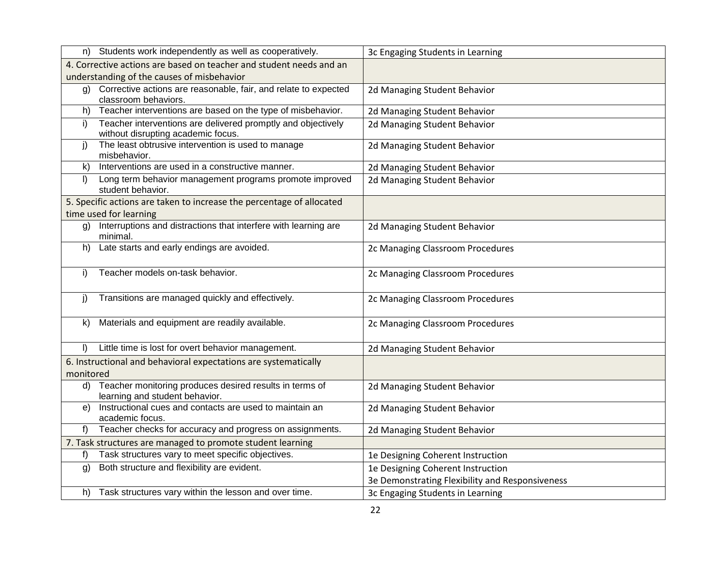| 3c Engaging Students in Learning                                                                                                                                                                                                                                                                                                                                                                                                                                                                                                                                                                                                                                                                                                                                                                                                                                                                                                                                                                                                                                                                                                                                                                                                                                                                                                                                                                                                                                                                                                                                                                                          |
|---------------------------------------------------------------------------------------------------------------------------------------------------------------------------------------------------------------------------------------------------------------------------------------------------------------------------------------------------------------------------------------------------------------------------------------------------------------------------------------------------------------------------------------------------------------------------------------------------------------------------------------------------------------------------------------------------------------------------------------------------------------------------------------------------------------------------------------------------------------------------------------------------------------------------------------------------------------------------------------------------------------------------------------------------------------------------------------------------------------------------------------------------------------------------------------------------------------------------------------------------------------------------------------------------------------------------------------------------------------------------------------------------------------------------------------------------------------------------------------------------------------------------------------------------------------------------------------------------------------------------|
|                                                                                                                                                                                                                                                                                                                                                                                                                                                                                                                                                                                                                                                                                                                                                                                                                                                                                                                                                                                                                                                                                                                                                                                                                                                                                                                                                                                                                                                                                                                                                                                                                           |
|                                                                                                                                                                                                                                                                                                                                                                                                                                                                                                                                                                                                                                                                                                                                                                                                                                                                                                                                                                                                                                                                                                                                                                                                                                                                                                                                                                                                                                                                                                                                                                                                                           |
| 2d Managing Student Behavior                                                                                                                                                                                                                                                                                                                                                                                                                                                                                                                                                                                                                                                                                                                                                                                                                                                                                                                                                                                                                                                                                                                                                                                                                                                                                                                                                                                                                                                                                                                                                                                              |
| 2d Managing Student Behavior                                                                                                                                                                                                                                                                                                                                                                                                                                                                                                                                                                                                                                                                                                                                                                                                                                                                                                                                                                                                                                                                                                                                                                                                                                                                                                                                                                                                                                                                                                                                                                                              |
| 2d Managing Student Behavior                                                                                                                                                                                                                                                                                                                                                                                                                                                                                                                                                                                                                                                                                                                                                                                                                                                                                                                                                                                                                                                                                                                                                                                                                                                                                                                                                                                                                                                                                                                                                                                              |
| 2d Managing Student Behavior                                                                                                                                                                                                                                                                                                                                                                                                                                                                                                                                                                                                                                                                                                                                                                                                                                                                                                                                                                                                                                                                                                                                                                                                                                                                                                                                                                                                                                                                                                                                                                                              |
| 2d Managing Student Behavior                                                                                                                                                                                                                                                                                                                                                                                                                                                                                                                                                                                                                                                                                                                                                                                                                                                                                                                                                                                                                                                                                                                                                                                                                                                                                                                                                                                                                                                                                                                                                                                              |
| 2d Managing Student Behavior                                                                                                                                                                                                                                                                                                                                                                                                                                                                                                                                                                                                                                                                                                                                                                                                                                                                                                                                                                                                                                                                                                                                                                                                                                                                                                                                                                                                                                                                                                                                                                                              |
|                                                                                                                                                                                                                                                                                                                                                                                                                                                                                                                                                                                                                                                                                                                                                                                                                                                                                                                                                                                                                                                                                                                                                                                                                                                                                                                                                                                                                                                                                                                                                                                                                           |
|                                                                                                                                                                                                                                                                                                                                                                                                                                                                                                                                                                                                                                                                                                                                                                                                                                                                                                                                                                                                                                                                                                                                                                                                                                                                                                                                                                                                                                                                                                                                                                                                                           |
| 2d Managing Student Behavior                                                                                                                                                                                                                                                                                                                                                                                                                                                                                                                                                                                                                                                                                                                                                                                                                                                                                                                                                                                                                                                                                                                                                                                                                                                                                                                                                                                                                                                                                                                                                                                              |
| 2c Managing Classroom Procedures                                                                                                                                                                                                                                                                                                                                                                                                                                                                                                                                                                                                                                                                                                                                                                                                                                                                                                                                                                                                                                                                                                                                                                                                                                                                                                                                                                                                                                                                                                                                                                                          |
| 2c Managing Classroom Procedures                                                                                                                                                                                                                                                                                                                                                                                                                                                                                                                                                                                                                                                                                                                                                                                                                                                                                                                                                                                                                                                                                                                                                                                                                                                                                                                                                                                                                                                                                                                                                                                          |
|                                                                                                                                                                                                                                                                                                                                                                                                                                                                                                                                                                                                                                                                                                                                                                                                                                                                                                                                                                                                                                                                                                                                                                                                                                                                                                                                                                                                                                                                                                                                                                                                                           |
| 2c Managing Classroom Procedures                                                                                                                                                                                                                                                                                                                                                                                                                                                                                                                                                                                                                                                                                                                                                                                                                                                                                                                                                                                                                                                                                                                                                                                                                                                                                                                                                                                                                                                                                                                                                                                          |
| 2c Managing Classroom Procedures                                                                                                                                                                                                                                                                                                                                                                                                                                                                                                                                                                                                                                                                                                                                                                                                                                                                                                                                                                                                                                                                                                                                                                                                                                                                                                                                                                                                                                                                                                                                                                                          |
| 2d Managing Student Behavior                                                                                                                                                                                                                                                                                                                                                                                                                                                                                                                                                                                                                                                                                                                                                                                                                                                                                                                                                                                                                                                                                                                                                                                                                                                                                                                                                                                                                                                                                                                                                                                              |
|                                                                                                                                                                                                                                                                                                                                                                                                                                                                                                                                                                                                                                                                                                                                                                                                                                                                                                                                                                                                                                                                                                                                                                                                                                                                                                                                                                                                                                                                                                                                                                                                                           |
|                                                                                                                                                                                                                                                                                                                                                                                                                                                                                                                                                                                                                                                                                                                                                                                                                                                                                                                                                                                                                                                                                                                                                                                                                                                                                                                                                                                                                                                                                                                                                                                                                           |
| 2d Managing Student Behavior                                                                                                                                                                                                                                                                                                                                                                                                                                                                                                                                                                                                                                                                                                                                                                                                                                                                                                                                                                                                                                                                                                                                                                                                                                                                                                                                                                                                                                                                                                                                                                                              |
| 2d Managing Student Behavior                                                                                                                                                                                                                                                                                                                                                                                                                                                                                                                                                                                                                                                                                                                                                                                                                                                                                                                                                                                                                                                                                                                                                                                                                                                                                                                                                                                                                                                                                                                                                                                              |
| 2d Managing Student Behavior                                                                                                                                                                                                                                                                                                                                                                                                                                                                                                                                                                                                                                                                                                                                                                                                                                                                                                                                                                                                                                                                                                                                                                                                                                                                                                                                                                                                                                                                                                                                                                                              |
|                                                                                                                                                                                                                                                                                                                                                                                                                                                                                                                                                                                                                                                                                                                                                                                                                                                                                                                                                                                                                                                                                                                                                                                                                                                                                                                                                                                                                                                                                                                                                                                                                           |
| 1e Designing Coherent Instruction                                                                                                                                                                                                                                                                                                                                                                                                                                                                                                                                                                                                                                                                                                                                                                                                                                                                                                                                                                                                                                                                                                                                                                                                                                                                                                                                                                                                                                                                                                                                                                                         |
| 1e Designing Coherent Instruction                                                                                                                                                                                                                                                                                                                                                                                                                                                                                                                                                                                                                                                                                                                                                                                                                                                                                                                                                                                                                                                                                                                                                                                                                                                                                                                                                                                                                                                                                                                                                                                         |
| 3e Demonstrating Flexibility and Responsiveness                                                                                                                                                                                                                                                                                                                                                                                                                                                                                                                                                                                                                                                                                                                                                                                                                                                                                                                                                                                                                                                                                                                                                                                                                                                                                                                                                                                                                                                                                                                                                                           |
| 3c Engaging Students in Learning                                                                                                                                                                                                                                                                                                                                                                                                                                                                                                                                                                                                                                                                                                                                                                                                                                                                                                                                                                                                                                                                                                                                                                                                                                                                                                                                                                                                                                                                                                                                                                                          |
| Students work independently as well as cooperatively.<br>4. Corrective actions are based on teacher and student needs and an<br>understanding of the causes of misbehavior<br>Corrective actions are reasonable, fair, and relate to expected<br>classroom behaviors.<br>Teacher interventions are based on the type of misbehavior.<br>Teacher interventions are delivered promptly and objectively<br>without disrupting academic focus.<br>The least obtrusive intervention is used to manage<br>misbehavior.<br>Interventions are used in a constructive manner.<br>Long term behavior management programs promote improved<br>student behavior.<br>5. Specific actions are taken to increase the percentage of allocated<br>time used for learning<br>Interruptions and distractions that interfere with learning are<br>minimal.<br>Late starts and early endings are avoided.<br>Teacher models on-task behavior.<br>Transitions are managed quickly and effectively.<br>Materials and equipment are readily available.<br>Little time is lost for overt behavior management.<br>6. Instructional and behavioral expectations are systematically<br>Teacher monitoring produces desired results in terms of<br>learning and student behavior.<br>Instructional cues and contacts are used to maintain an<br>academic focus.<br>Teacher checks for accuracy and progress on assignments.<br>7. Task structures are managed to promote student learning<br>Task structures vary to meet specific objectives.<br>Both structure and flexibility are evident.<br>Task structures vary within the lesson and over time. |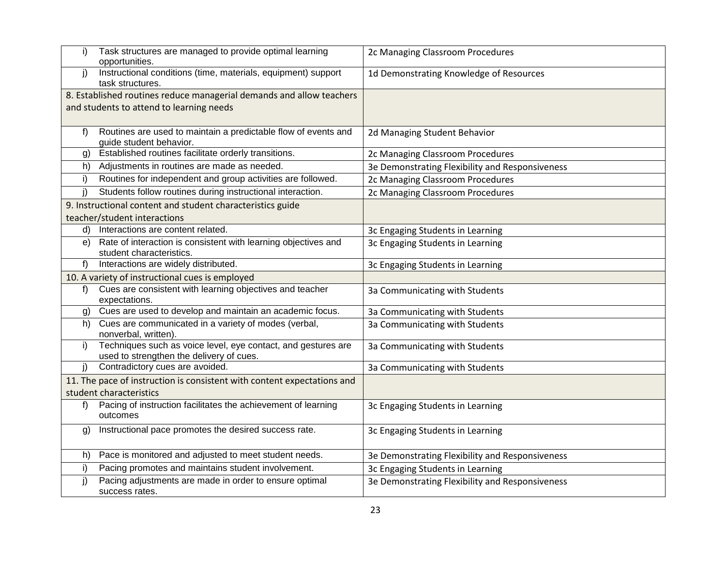| i) | Task structures are managed to provide optimal learning<br>opportunities.                                 | 2c Managing Classroom Procedures                |
|----|-----------------------------------------------------------------------------------------------------------|-------------------------------------------------|
| j) | Instructional conditions (time, materials, equipment) support<br>task structures.                         | 1d Demonstrating Knowledge of Resources         |
|    | 8. Established routines reduce managerial demands and allow teachers                                      |                                                 |
|    | and students to attend to learning needs                                                                  |                                                 |
|    |                                                                                                           |                                                 |
| f) | Routines are used to maintain a predictable flow of events and<br>guide student behavior.                 | 2d Managing Student Behavior                    |
| g) | Established routines facilitate orderly transitions.                                                      | 2c Managing Classroom Procedures                |
| h) | Adjustments in routines are made as needed.                                                               | 3e Demonstrating Flexibility and Responsiveness |
| i) | Routines for independent and group activities are followed.                                               | 2c Managing Classroom Procedures                |
| j) | Students follow routines during instructional interaction.                                                | 2c Managing Classroom Procedures                |
|    | 9. Instructional content and student characteristics guide                                                |                                                 |
|    | teacher/student interactions                                                                              |                                                 |
| d) | Interactions are content related.                                                                         | 3c Engaging Students in Learning                |
| e) | Rate of interaction is consistent with learning objectives and<br>student characteristics.                | 3c Engaging Students in Learning                |
| f) | Interactions are widely distributed.                                                                      | 3c Engaging Students in Learning                |
|    | 10. A variety of instructional cues is employed                                                           |                                                 |
| f) | Cues are consistent with learning objectives and teacher<br>expectations.                                 | 3a Communicating with Students                  |
| g) | Cues are used to develop and maintain an academic focus.                                                  | 3a Communicating with Students                  |
| h) | Cues are communicated in a variety of modes (verbal,<br>nonverbal, written).                              | 3a Communicating with Students                  |
| i) | Techniques such as voice level, eye contact, and gestures are<br>used to strengthen the delivery of cues. | 3a Communicating with Students                  |
| j) | Contradictory cues are avoided.                                                                           | 3a Communicating with Students                  |
|    | 11. The pace of instruction is consistent with content expectations and                                   |                                                 |
|    | student characteristics                                                                                   |                                                 |
| f) | Pacing of instruction facilitates the achievement of learning<br>outcomes                                 | 3c Engaging Students in Learning                |
| g) | Instructional pace promotes the desired success rate.                                                     | 3c Engaging Students in Learning                |
| h) | Pace is monitored and adjusted to meet student needs.                                                     | 3e Demonstrating Flexibility and Responsiveness |
| i) | Pacing promotes and maintains student involvement.                                                        | 3c Engaging Students in Learning                |
| j) | Pacing adjustments are made in order to ensure optimal<br>success rates.                                  | 3e Demonstrating Flexibility and Responsiveness |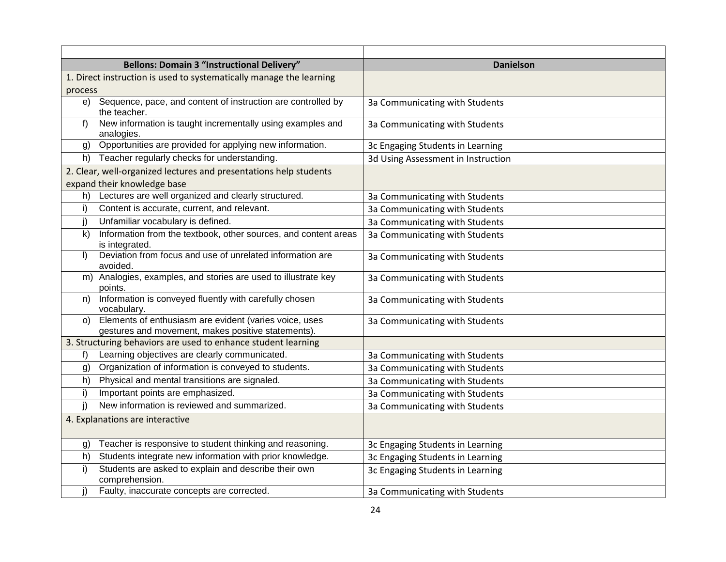| <b>Bellons: Domain 3 "Instructional Delivery"</b>                                                                   | <b>Danielson</b>                   |
|---------------------------------------------------------------------------------------------------------------------|------------------------------------|
| 1. Direct instruction is used to systematically manage the learning                                                 |                                    |
| process                                                                                                             |                                    |
| Sequence, pace, and content of instruction are controlled by<br>e)<br>the teacher.                                  | 3a Communicating with Students     |
| New information is taught incrementally using examples and<br>f<br>analogies.                                       | 3a Communicating with Students     |
| Opportunities are provided for applying new information.<br>g)                                                      | 3c Engaging Students in Learning   |
| Teacher regularly checks for understanding.<br>h)                                                                   | 3d Using Assessment in Instruction |
| 2. Clear, well-organized lectures and presentations help students                                                   |                                    |
| expand their knowledge base                                                                                         |                                    |
| Lectures are well organized and clearly structured.<br>h)                                                           | 3a Communicating with Students     |
| Content is accurate, current, and relevant.<br>i)                                                                   | 3a Communicating with Students     |
| Unfamiliar vocabulary is defined.<br>j)                                                                             | 3a Communicating with Students     |
| Information from the textbook, other sources, and content areas<br>$\mathsf{k}$<br>is integrated.                   | 3a Communicating with Students     |
| Deviation from focus and use of unrelated information are<br>$\vert$<br>avoided.                                    | 3a Communicating with Students     |
| Analogies, examples, and stories are used to illustrate key<br>m)<br>points.                                        | 3a Communicating with Students     |
| Information is conveyed fluently with carefully chosen<br>n)<br>vocabulary.                                         | 3a Communicating with Students     |
| Elements of enthusiasm are evident (varies voice, uses<br>O()<br>gestures and movement, makes positive statements). | 3a Communicating with Students     |
| 3. Structuring behaviors are used to enhance student learning                                                       |                                    |
| Learning objectives are clearly communicated.<br>f)                                                                 | 3a Communicating with Students     |
| Organization of information is conveyed to students.<br>g)                                                          | 3a Communicating with Students     |
| Physical and mental transitions are signaled.<br>h)                                                                 | 3a Communicating with Students     |
| Important points are emphasized.<br>i)                                                                              | 3a Communicating with Students     |
| i)<br>New information is reviewed and summarized.                                                                   | 3a Communicating with Students     |
| 4. Explanations are interactive                                                                                     |                                    |
| Teacher is responsive to student thinking and reasoning.<br>g)                                                      | 3c Engaging Students in Learning   |
| Students integrate new information with prior knowledge.<br>h)                                                      | 3c Engaging Students in Learning   |
| Students are asked to explain and describe their own<br>i)<br>comprehension.                                        | 3c Engaging Students in Learning   |
| Faulty, inaccurate concepts are corrected.<br>j)                                                                    | 3a Communicating with Students     |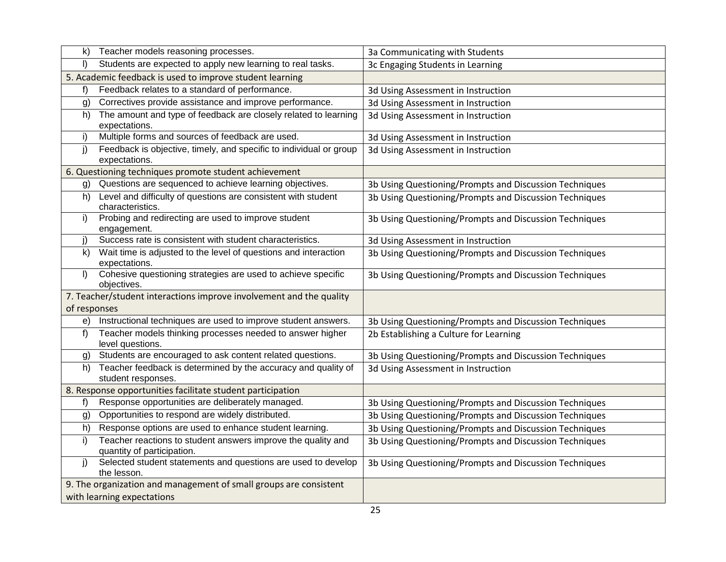| $\mathsf{k}$ | Teacher models reasoning processes.                                                        | 3a Communicating with Students                         |
|--------------|--------------------------------------------------------------------------------------------|--------------------------------------------------------|
| I)           | Students are expected to apply new learning to real tasks.                                 | 3c Engaging Students in Learning                       |
|              | 5. Academic feedback is used to improve student learning                                   |                                                        |
| f)           | Feedback relates to a standard of performance.                                             | 3d Using Assessment in Instruction                     |
| g)           | Correctives provide assistance and improve performance.                                    | 3d Using Assessment in Instruction                     |
| h)           | The amount and type of feedback are closely related to learning<br>expectations.           | 3d Using Assessment in Instruction                     |
| i)           | Multiple forms and sources of feedback are used.                                           | 3d Using Assessment in Instruction                     |
| j)           | Feedback is objective, timely, and specific to individual or group<br>expectations.        | 3d Using Assessment in Instruction                     |
|              | 6. Questioning techniques promote student achievement                                      |                                                        |
| g)           | Questions are sequenced to achieve learning objectives.                                    | 3b Using Questioning/Prompts and Discussion Techniques |
| h)           | Level and difficulty of questions are consistent with student<br>characteristics.          | 3b Using Questioning/Prompts and Discussion Techniques |
| i)           | Probing and redirecting are used to improve student<br>engagement.                         | 3b Using Questioning/Prompts and Discussion Techniques |
| j)           | Success rate is consistent with student characteristics.                                   | 3d Using Assessment in Instruction                     |
| k)           | Wait time is adjusted to the level of questions and interaction<br>expectations.           | 3b Using Questioning/Prompts and Discussion Techniques |
| $\vert$      | Cohesive questioning strategies are used to achieve specific<br>objectives.                | 3b Using Questioning/Prompts and Discussion Techniques |
|              | 7. Teacher/student interactions improve involvement and the quality                        |                                                        |
| of responses |                                                                                            |                                                        |
| e)           | Instructional techniques are used to improve student answers.                              | 3b Using Questioning/Prompts and Discussion Techniques |
| $f$ )        | Teacher models thinking processes needed to answer higher<br>level questions.              | 2b Establishing a Culture for Learning                 |
| g)           | Students are encouraged to ask content related questions.                                  | 3b Using Questioning/Prompts and Discussion Techniques |
| h)           | Teacher feedback is determined by the accuracy and quality of<br>student responses.        | 3d Using Assessment in Instruction                     |
|              | 8. Response opportunities facilitate student participation                                 |                                                        |
| f)           | Response opportunities are deliberately managed.                                           | 3b Using Questioning/Prompts and Discussion Techniques |
| g)           | Opportunities to respond are widely distributed.                                           | 3b Using Questioning/Prompts and Discussion Techniques |
| h)           | Response options are used to enhance student learning.                                     | 3b Using Questioning/Prompts and Discussion Techniques |
| i)           | Teacher reactions to student answers improve the quality and<br>quantity of participation. | 3b Using Questioning/Prompts and Discussion Techniques |
| j)           | Selected student statements and questions are used to develop<br>the lesson.               | 3b Using Questioning/Prompts and Discussion Techniques |
|              | 9. The organization and management of small groups are consistent                          |                                                        |
|              | with learning expectations                                                                 |                                                        |
|              |                                                                                            |                                                        |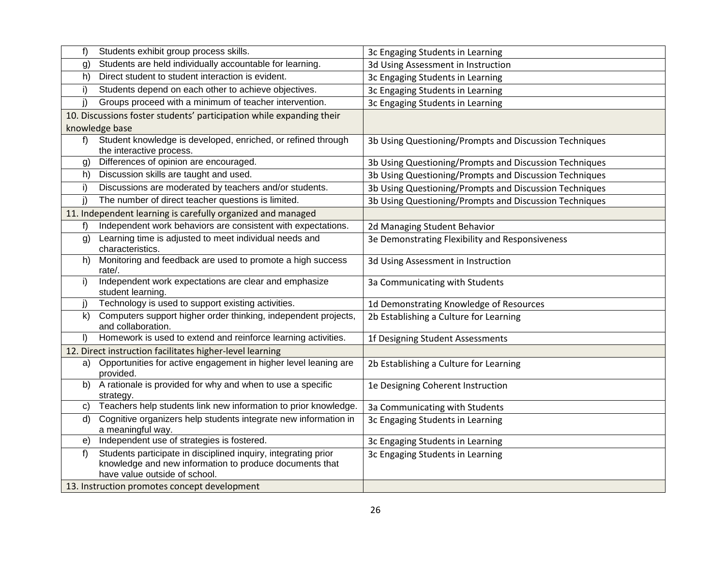| f)           | Students exhibit group process skills.                                                                                                                     | 3c Engaging Students in Learning                       |
|--------------|------------------------------------------------------------------------------------------------------------------------------------------------------------|--------------------------------------------------------|
| g)           | Students are held individually accountable for learning.                                                                                                   | 3d Using Assessment in Instruction                     |
| h)           | Direct student to student interaction is evident.                                                                                                          | 3c Engaging Students in Learning                       |
| i)           | Students depend on each other to achieve objectives.                                                                                                       | 3c Engaging Students in Learning                       |
| j)           | Groups proceed with a minimum of teacher intervention.                                                                                                     | 3c Engaging Students in Learning                       |
|              | 10. Discussions foster students' participation while expanding their                                                                                       |                                                        |
|              | knowledge base                                                                                                                                             |                                                        |
| f)           | Student knowledge is developed, enriched, or refined through<br>the interactive process.                                                                   | 3b Using Questioning/Prompts and Discussion Techniques |
| g)           | Differences of opinion are encouraged.                                                                                                                     | 3b Using Questioning/Prompts and Discussion Techniques |
| h)           | Discussion skills are taught and used.                                                                                                                     | 3b Using Questioning/Prompts and Discussion Techniques |
| i)           | Discussions are moderated by teachers and/or students.                                                                                                     | 3b Using Questioning/Prompts and Discussion Techniques |
| j)           | The number of direct teacher questions is limited.                                                                                                         | 3b Using Questioning/Prompts and Discussion Techniques |
|              | 11. Independent learning is carefully organized and managed                                                                                                |                                                        |
| f)           | Independent work behaviors are consistent with expectations.                                                                                               | 2d Managing Student Behavior                           |
| g)           | Learning time is adjusted to meet individual needs and<br>characteristics.                                                                                 | 3e Demonstrating Flexibility and Responsiveness        |
| h)           | Monitoring and feedback are used to promote a high success<br>rate/.                                                                                       | 3d Using Assessment in Instruction                     |
| i)           | Independent work expectations are clear and emphasize<br>student learning.                                                                                 | 3a Communicating with Students                         |
| j)           | Technology is used to support existing activities.                                                                                                         | 1d Demonstrating Knowledge of Resources                |
| $\mathsf{k}$ | Computers support higher order thinking, independent projects,<br>and collaboration.                                                                       | 2b Establishing a Culture for Learning                 |
| $\vert$      | Homework is used to extend and reinforce learning activities.                                                                                              | 1f Designing Student Assessments                       |
|              | 12. Direct instruction facilitates higher-level learning                                                                                                   |                                                        |
| a)           | Opportunities for active engagement in higher level leaning are<br>provided.                                                                               | 2b Establishing a Culture for Learning                 |
| b)           | A rationale is provided for why and when to use a specific<br>strategy.                                                                                    | 1e Designing Coherent Instruction                      |
| C)           | Teachers help students link new information to prior knowledge.                                                                                            | 3a Communicating with Students                         |
| d)           | Cognitive organizers help students integrate new information in<br>a meaningful way.                                                                       | 3c Engaging Students in Learning                       |
| e)           | Independent use of strategies is fostered.                                                                                                                 | 3c Engaging Students in Learning                       |
| f)           | Students participate in disciplined inquiry, integrating prior<br>knowledge and new information to produce documents that<br>have value outside of school. | 3c Engaging Students in Learning                       |
|              | 13. Instruction promotes concept development                                                                                                               |                                                        |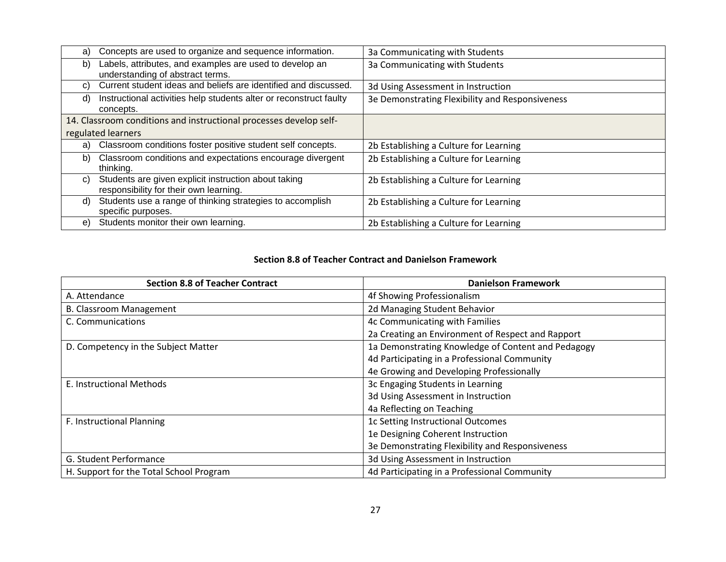| a) | Concepts are used to organize and sequence information.            | 3a Communicating with Students                  |
|----|--------------------------------------------------------------------|-------------------------------------------------|
| b) | Labels, attributes, and examples are used to develop an            | 3a Communicating with Students                  |
|    | understanding of abstract terms.                                   |                                                 |
| C) | Current student ideas and beliefs are identified and discussed.    | 3d Using Assessment in Instruction              |
| d) | Instructional activities help students alter or reconstruct faulty | 3e Demonstrating Flexibility and Responsiveness |
|    | concepts.                                                          |                                                 |
|    | 14. Classroom conditions and instructional processes develop self- |                                                 |
|    | regulated learners                                                 |                                                 |
| a) | Classroom conditions foster positive student self concepts.        | 2b Establishing a Culture for Learning          |
| b) | Classroom conditions and expectations encourage divergent          | 2b Establishing a Culture for Learning          |
|    | thinking.                                                          |                                                 |
| C) | Students are given explicit instruction about taking               | 2b Establishing a Culture for Learning          |
|    | responsibility for their own learning.                             |                                                 |
| d) | Students use a range of thinking strategies to accomplish          | 2b Establishing a Culture for Learning          |
|    | specific purposes.                                                 |                                                 |
| e) | Students monitor their own learning.                               | 2b Establishing a Culture for Learning          |
|    |                                                                    |                                                 |

#### **Section 8.8 of Teacher Contract and Danielson Framework**

| <b>Section 8.8 of Teacher Contract</b>  | <b>Danielson Framework</b>                         |
|-----------------------------------------|----------------------------------------------------|
| A. Attendance                           | 4f Showing Professionalism                         |
| <b>B. Classroom Management</b>          | 2d Managing Student Behavior                       |
| C. Communications                       | 4c Communicating with Families                     |
|                                         | 2a Creating an Environment of Respect and Rapport  |
| D. Competency in the Subject Matter     | 1a Demonstrating Knowledge of Content and Pedagogy |
|                                         | 4d Participating in a Professional Community       |
|                                         | 4e Growing and Developing Professionally           |
| E. Instructional Methods                | 3c Engaging Students in Learning                   |
|                                         | 3d Using Assessment in Instruction                 |
|                                         | 4a Reflecting on Teaching                          |
| F. Instructional Planning               | 1c Setting Instructional Outcomes                  |
|                                         | 1e Designing Coherent Instruction                  |
|                                         | 3e Demonstrating Flexibility and Responsiveness    |
| G. Student Performance                  | 3d Using Assessment in Instruction                 |
| H. Support for the Total School Program | 4d Participating in a Professional Community       |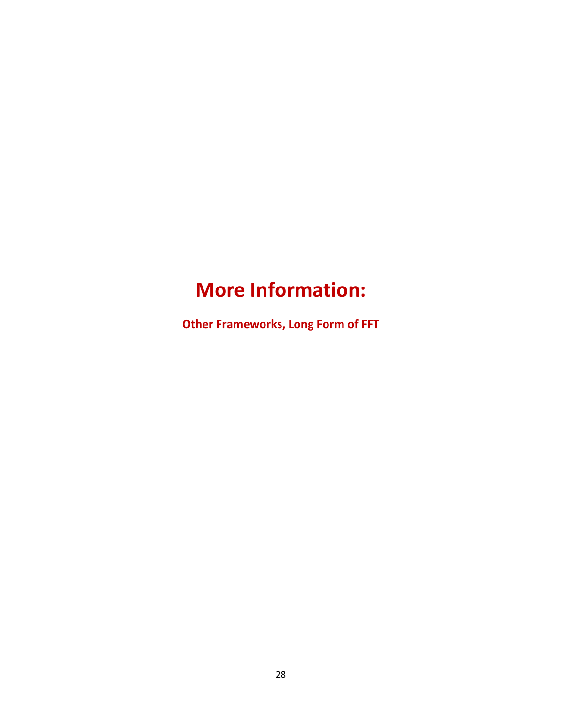# **More Information:**

**Other Frameworks, Long Form of FFT**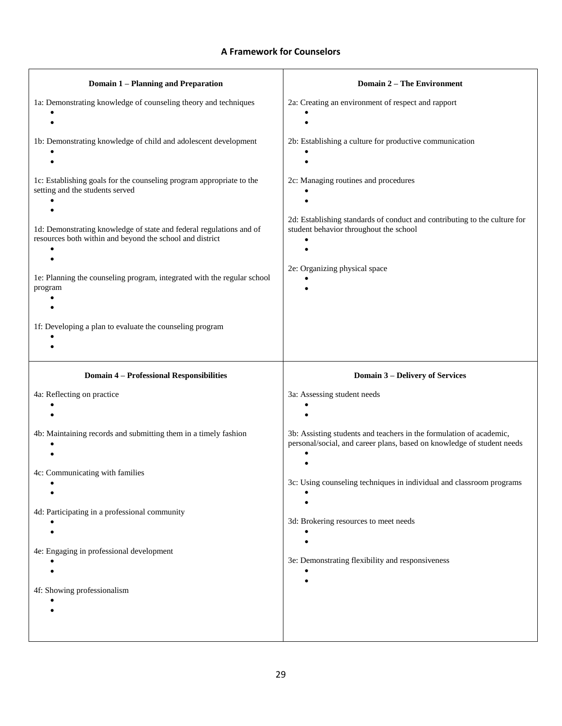### **A Framework for Counselors**

| <b>Domain 1 - Planning and Preparation</b>                                                                                      | <b>Domain 2 - The Environment</b>                                                                                                             |
|---------------------------------------------------------------------------------------------------------------------------------|-----------------------------------------------------------------------------------------------------------------------------------------------|
| 1a: Demonstrating knowledge of counseling theory and techniques                                                                 | 2a: Creating an environment of respect and rapport                                                                                            |
| 1b: Demonstrating knowledge of child and adolescent development                                                                 | 2b: Establishing a culture for productive communication                                                                                       |
| 1c: Establishing goals for the counseling program appropriate to the<br>setting and the students served                         | 2c: Managing routines and procedures                                                                                                          |
| 1d: Demonstrating knowledge of state and federal regulations and of<br>resources both within and beyond the school and district | 2d: Establishing standards of conduct and contributing to the culture for<br>student behavior throughout the school                           |
| 1e: Planning the counseling program, integrated with the regular school<br>program                                              | 2e: Organizing physical space                                                                                                                 |
| 1f: Developing a plan to evaluate the counseling program                                                                        |                                                                                                                                               |
|                                                                                                                                 |                                                                                                                                               |
| <b>Domain 4 - Professional Responsibilities</b>                                                                                 | <b>Domain 3 - Delivery of Services</b>                                                                                                        |
| 4a: Reflecting on practice                                                                                                      | 3a: Assessing student needs                                                                                                                   |
|                                                                                                                                 |                                                                                                                                               |
| 4b: Maintaining records and submitting them in a timely fashion                                                                 | 3b: Assisting students and teachers in the formulation of academic,<br>personal/social, and career plans, based on knowledge of student needs |
| 4c: Communicating with families                                                                                                 | 3c: Using counseling techniques in individual and classroom programs                                                                          |
| 4d: Participating in a professional community                                                                                   | 3d: Brokering resources to meet needs                                                                                                         |
| 4e: Engaging in professional development                                                                                        | 3e: Demonstrating flexibility and responsiveness                                                                                              |
| 4f: Showing professionalism                                                                                                     |                                                                                                                                               |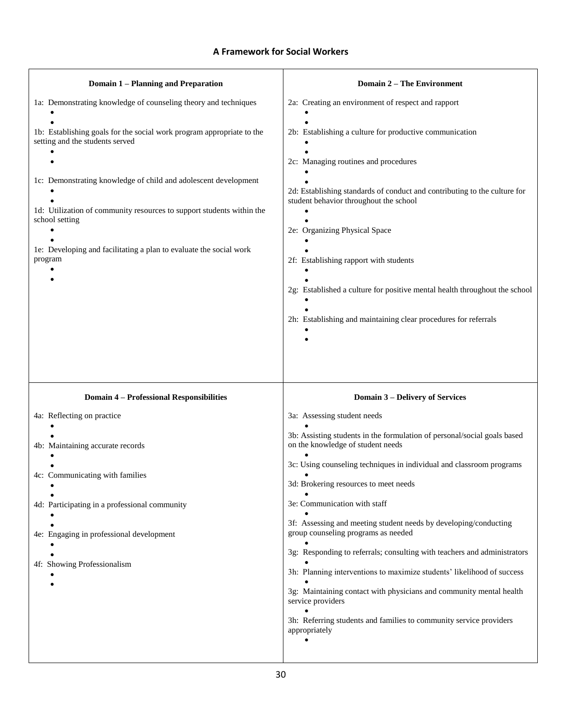### **A Framework for Social Workers**

| Domain 1 - Planning and Preparation                                                                      | <b>Domain 2 – The Environment</b>                                                                                   |
|----------------------------------------------------------------------------------------------------------|---------------------------------------------------------------------------------------------------------------------|
| 1a: Demonstrating knowledge of counseling theory and techniques                                          | 2a: Creating an environment of respect and rapport                                                                  |
| 1b: Establishing goals for the social work program appropriate to the<br>setting and the students served | 2b: Establishing a culture for productive communication                                                             |
| 1c: Demonstrating knowledge of child and adolescent development                                          | 2c: Managing routines and procedures                                                                                |
| 1d: Utilization of community resources to support students within the                                    | 2d: Establishing standards of conduct and contributing to the culture for<br>student behavior throughout the school |
| school setting                                                                                           | 2e: Organizing Physical Space                                                                                       |
| 1e: Developing and facilitating a plan to evaluate the social work<br>program                            | 2f: Establishing rapport with students                                                                              |
|                                                                                                          | 2g: Established a culture for positive mental health throughout the school                                          |
|                                                                                                          | 2h: Establishing and maintaining clear procedures for referrals                                                     |
|                                                                                                          |                                                                                                                     |
|                                                                                                          |                                                                                                                     |
| <b>Domain 4 - Professional Responsibilities</b>                                                          | <b>Domain 3 - Delivery of Services</b>                                                                              |
| 4a: Reflecting on practice                                                                               | 3a: Assessing student needs                                                                                         |
| 4b: Maintaining accurate records                                                                         | 3b: Assisting students in the formulation of personal/social goals based<br>on the knowledge of student needs       |
|                                                                                                          | 3c: Using counseling techniques in individual and classroom programs                                                |
| 4c: Communicating with families                                                                          | 3d: Brokering resources to meet needs                                                                               |
| 4d: Participating in a professional community                                                            | 3e: Communication with staff                                                                                        |
| 4e: Engaging in professional development                                                                 | 3f: Assessing and meeting student needs by developing/conducting<br>group counseling programs as needed             |
|                                                                                                          | 3g: Responding to referrals; consulting with teachers and administrators                                            |
| 4f: Showing Professionalism                                                                              | 3h: Planning interventions to maximize students' likelihood of success                                              |
|                                                                                                          | 3g: Maintaining contact with physicians and community mental health<br>service providers                            |
|                                                                                                          | 3h: Referring students and families to community service providers<br>appropriately                                 |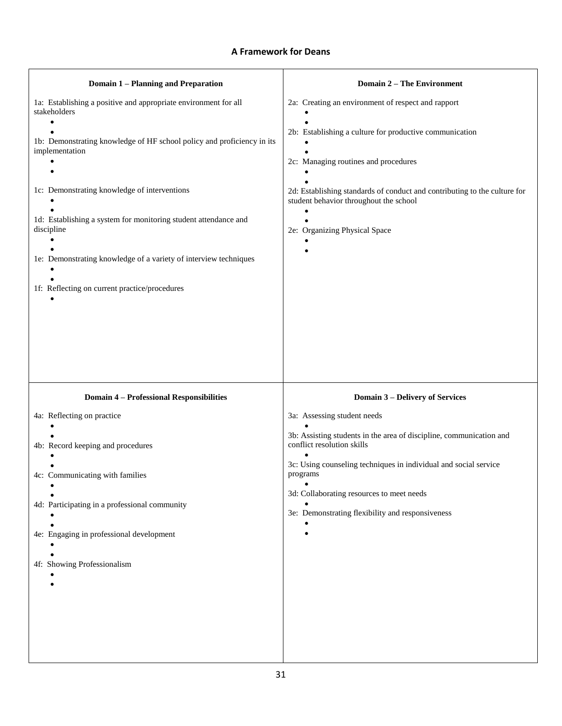### **A Framework for Deans**

| <b>Domain 1 - Planning and Preparation</b>                                                                                                                                                                                                                                                                   | <b>Domain 2 – The Environment</b>                                                                                                                                                                                                                                                                                                                           |
|--------------------------------------------------------------------------------------------------------------------------------------------------------------------------------------------------------------------------------------------------------------------------------------------------------------|-------------------------------------------------------------------------------------------------------------------------------------------------------------------------------------------------------------------------------------------------------------------------------------------------------------------------------------------------------------|
| 1a: Establishing a positive and appropriate environment for all<br>stakeholders<br>1b: Demonstrating knowledge of HF school policy and proficiency in its<br>implementation<br>1c: Demonstrating knowledge of interventions<br>1d: Establishing a system for monitoring student attendance and<br>discipline | 2a: Creating an environment of respect and rapport<br>2b: Establishing a culture for productive communication<br>2c: Managing routines and procedures<br>2d: Establishing standards of conduct and contributing to the culture for<br>student behavior throughout the school<br>2e: Organizing Physical Space                                               |
| 1e: Demonstrating knowledge of a variety of interview techniques<br>1f: Reflecting on current practice/procedures                                                                                                                                                                                            |                                                                                                                                                                                                                                                                                                                                                             |
|                                                                                                                                                                                                                                                                                                              |                                                                                                                                                                                                                                                                                                                                                             |
|                                                                                                                                                                                                                                                                                                              |                                                                                                                                                                                                                                                                                                                                                             |
| <b>Domain 4 - Professional Responsibilities</b><br>4a: Reflecting on practice<br>4b: Record keeping and procedures<br>4c: Communicating with families<br>4d: Participating in a professional community<br>4e: Engaging in professional development<br>4f: Showing Professionalism                            | <b>Domain 3 - Delivery of Services</b><br>3a: Assessing student needs<br>3b: Assisting students in the area of discipline, communication and<br>conflict resolution skills<br>3c: Using counseling techniques in individual and social service<br>programs<br>3d: Collaborating resources to meet needs<br>3e: Demonstrating flexibility and responsiveness |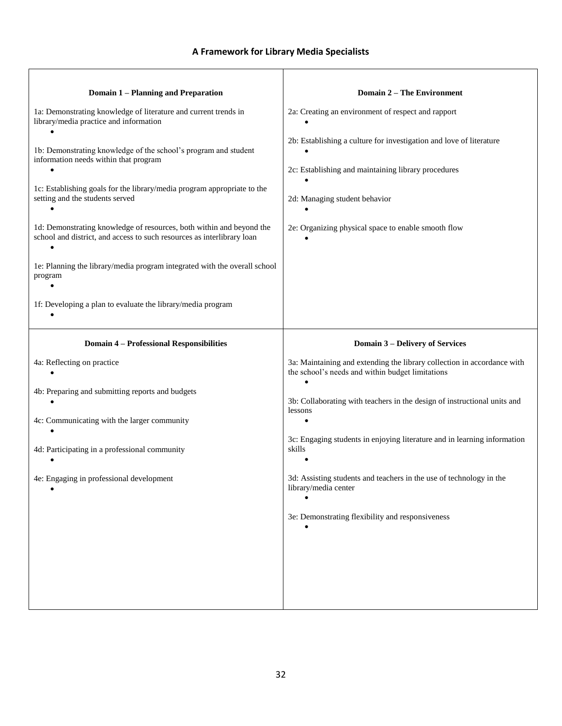### **A Framework for Library Media Specialists**

| <b>Domain 1 - Planning and Preparation</b>                                                                                                                                                                             | <b>Domain 2 – The Environment</b>                                                                                                                           |
|------------------------------------------------------------------------------------------------------------------------------------------------------------------------------------------------------------------------|-------------------------------------------------------------------------------------------------------------------------------------------------------------|
| 1a: Demonstrating knowledge of literature and current trends in<br>library/media practice and information                                                                                                              | 2a: Creating an environment of respect and rapport                                                                                                          |
| 1b: Demonstrating knowledge of the school's program and student<br>information needs within that program<br>1c: Establishing goals for the library/media program appropriate to the<br>setting and the students served | 2b: Establishing a culture for investigation and love of literature<br>2c: Establishing and maintaining library procedures<br>2d: Managing student behavior |
| 1d: Demonstrating knowledge of resources, both within and beyond the<br>school and district, and access to such resources as interlibrary loan                                                                         | 2e: Organizing physical space to enable smooth flow                                                                                                         |
| 1e: Planning the library/media program integrated with the overall school<br>program                                                                                                                                   |                                                                                                                                                             |
| 1f: Developing a plan to evaluate the library/media program                                                                                                                                                            |                                                                                                                                                             |
| <b>Domain 4 - Professional Responsibilities</b>                                                                                                                                                                        | <b>Domain 3 – Delivery of Services</b>                                                                                                                      |
| 4a: Reflecting on practice                                                                                                                                                                                             | 3a: Maintaining and extending the library collection in accordance with<br>the school's needs and within budget limitations                                 |
| 4b: Preparing and submitting reports and budgets                                                                                                                                                                       | 3b: Collaborating with teachers in the design of instructional units and<br>lessons                                                                         |
| 4c: Communicating with the larger community                                                                                                                                                                            |                                                                                                                                                             |
| 4d: Participating in a professional community                                                                                                                                                                          | 3c: Engaging students in enjoying literature and in learning information<br>skills                                                                          |
| 4e: Engaging in professional development                                                                                                                                                                               | 3d: Assisting students and teachers in the use of technology in the<br>library/media center                                                                 |
|                                                                                                                                                                                                                        | 3e: Demonstrating flexibility and responsiveness                                                                                                            |
|                                                                                                                                                                                                                        |                                                                                                                                                             |
|                                                                                                                                                                                                                        |                                                                                                                                                             |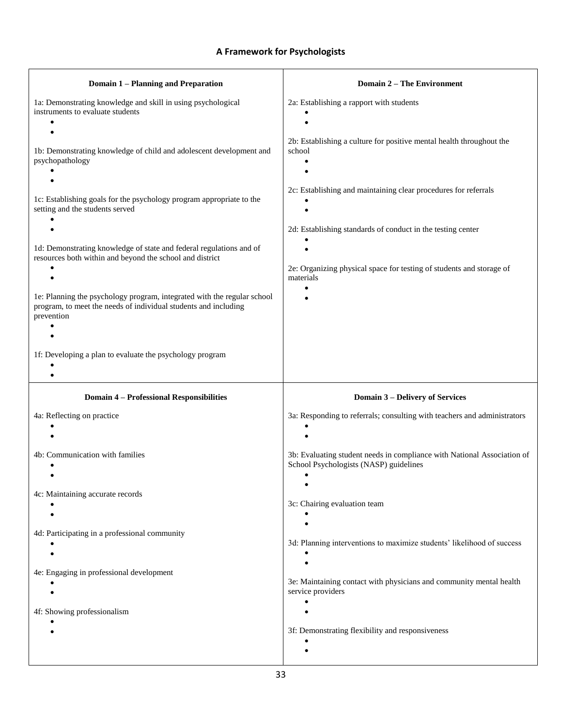### **A Framework for Psychologists**

| <b>Domain 1 - Planning and Preparation</b>                                                                                                               | <b>Domain 2 - The Environment</b>                                                                                                                |
|----------------------------------------------------------------------------------------------------------------------------------------------------------|--------------------------------------------------------------------------------------------------------------------------------------------------|
| 1a: Demonstrating knowledge and skill in using psychological<br>instruments to evaluate students                                                         | 2a: Establishing a rapport with students                                                                                                         |
| 1b: Demonstrating knowledge of child and adolescent development and<br>psychopathology                                                                   | 2b: Establishing a culture for positive mental health throughout the<br>school                                                                   |
| 1c: Establishing goals for the psychology program appropriate to the<br>setting and the students served                                                  | 2c: Establishing and maintaining clear procedures for referrals                                                                                  |
| 1d: Demonstrating knowledge of state and federal regulations and of<br>resources both within and beyond the school and district<br>$\bullet$             | 2d: Establishing standards of conduct in the testing center<br>2e: Organizing physical space for testing of students and storage of<br>materials |
| 1e: Planning the psychology program, integrated with the regular school<br>program, to meet the needs of individual students and including<br>prevention |                                                                                                                                                  |
| 1f: Developing a plan to evaluate the psychology program                                                                                                 |                                                                                                                                                  |
| <b>Domain 4 - Professional Responsibilities</b>                                                                                                          | <b>Domain 3 - Delivery of Services</b>                                                                                                           |
| 4a: Reflecting on practice                                                                                                                               | 3a: Responding to referrals; consulting with teachers and administrators                                                                         |
| 4b: Communication with families                                                                                                                          | 3b: Evaluating student needs in compliance with National Association of<br>School Psychologists (NASP) guidelines                                |
| 4c: Maintaining accurate records                                                                                                                         | 3c: Chairing evaluation team                                                                                                                     |
| 4d: Participating in a professional community                                                                                                            | 3d: Planning interventions to maximize students' likelihood of success                                                                           |
| 4e: Engaging in professional development                                                                                                                 | 3e: Maintaining contact with physicians and community mental health<br>service providers                                                         |
| 4f: Showing professionalism                                                                                                                              |                                                                                                                                                  |
|                                                                                                                                                          | 3f: Demonstrating flexibility and responsiveness                                                                                                 |